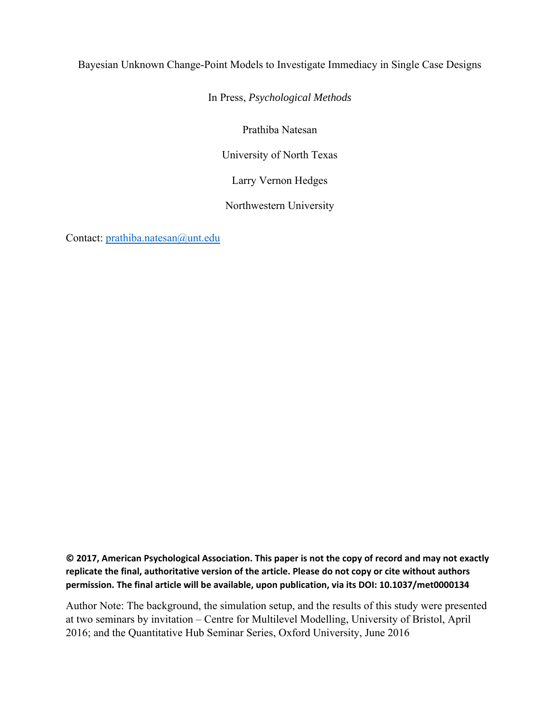# Bayesian Unknown Change-Point Models to Investigate Immediacy in Single Case Designs

# In Press, *Psychological Methods*

Prathiba Natesan

University of North Texas

Larry Vernon Hedges

Northwestern University

Contact: prathiba.natesan@unt.edu

**© 2017, American Psychological Association. This paper is not the copy of record and may not exactly replicate the final, authoritative version of the article. Please do not copy or cite without authors permission. The final article will be available, upon publication, via its DOI: 10.1037/met0000134**

Author Note: The background, the simulation setup, and the results of this study were presented at two seminars by invitation – Centre for Multilevel Modelling, University of Bristol, April 2016; and the Quantitative Hub Seminar Series, Oxford University, June 2016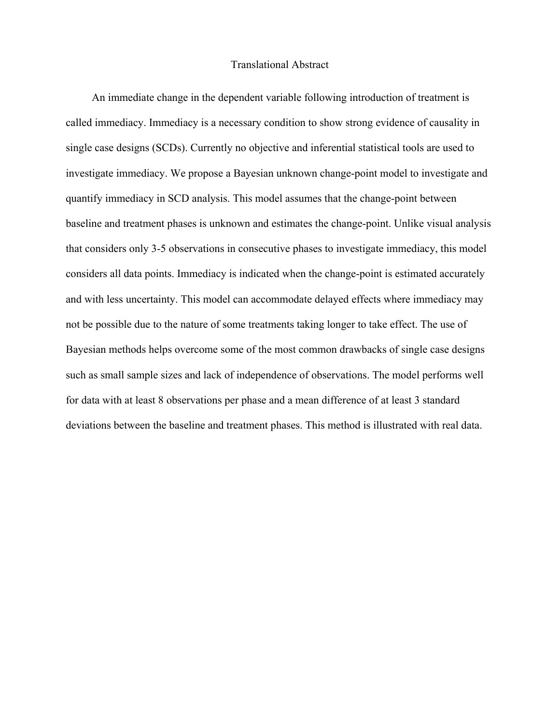# Translational Abstract

An immediate change in the dependent variable following introduction of treatment is called immediacy. Immediacy is a necessary condition to show strong evidence of causality in single case designs (SCDs). Currently no objective and inferential statistical tools are used to investigate immediacy. We propose a Bayesian unknown change-point model to investigate and quantify immediacy in SCD analysis. This model assumes that the change-point between baseline and treatment phases is unknown and estimates the change-point. Unlike visual analysis that considers only 3-5 observations in consecutive phases to investigate immediacy, this model considers all data points. Immediacy is indicated when the change-point is estimated accurately and with less uncertainty. This model can accommodate delayed effects where immediacy may not be possible due to the nature of some treatments taking longer to take effect. The use of Bayesian methods helps overcome some of the most common drawbacks of single case designs such as small sample sizes and lack of independence of observations. The model performs well for data with at least 8 observations per phase and a mean difference of at least 3 standard deviations between the baseline and treatment phases. This method is illustrated with real data.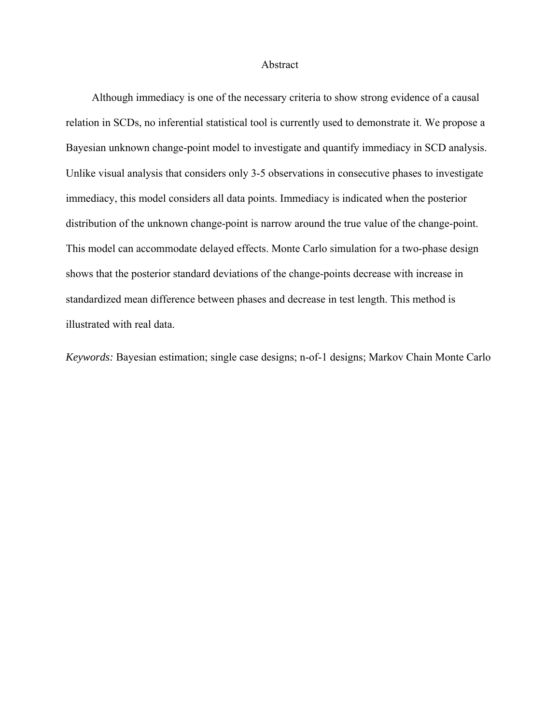#### Abstract

Although immediacy is one of the necessary criteria to show strong evidence of a causal relation in SCDs, no inferential statistical tool is currently used to demonstrate it. We propose a Bayesian unknown change-point model to investigate and quantify immediacy in SCD analysis. Unlike visual analysis that considers only 3-5 observations in consecutive phases to investigate immediacy, this model considers all data points. Immediacy is indicated when the posterior distribution of the unknown change-point is narrow around the true value of the change-point. This model can accommodate delayed effects. Monte Carlo simulation for a two-phase design shows that the posterior standard deviations of the change-points decrease with increase in standardized mean difference between phases and decrease in test length. This method is illustrated with real data.

*Keywords:* Bayesian estimation; single case designs; n-of-1 designs; Markov Chain Monte Carlo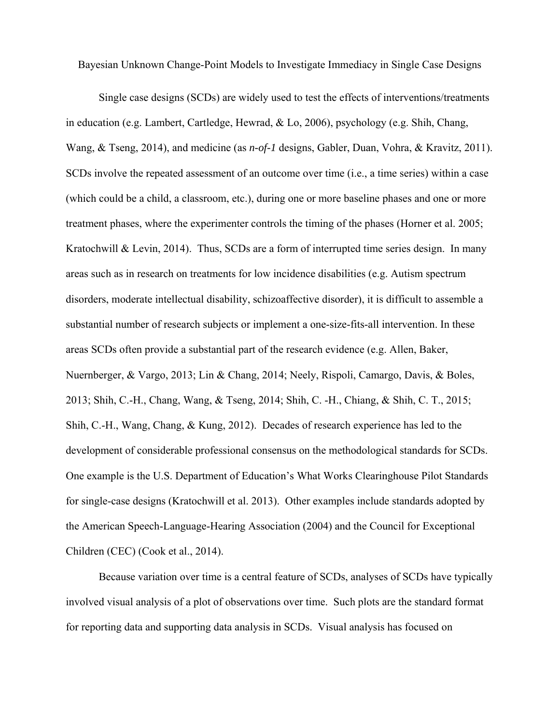Bayesian Unknown Change-Point Models to Investigate Immediacy in Single Case Designs

Single case designs (SCDs) are widely used to test the effects of interventions/treatments in education (e.g. Lambert, Cartledge, Hewrad, & Lo, 2006), psychology (e.g. Shih, Chang, Wang, & Tseng, 2014), and medicine (as *n-of-1* designs, Gabler, Duan, Vohra, & Kravitz, 2011). SCDs involve the repeated assessment of an outcome over time (i.e., a time series) within a case (which could be a child, a classroom, etc.), during one or more baseline phases and one or more treatment phases, where the experimenter controls the timing of the phases (Horner et al. 2005; Kratochwill & Levin, 2014). Thus, SCDs are a form of interrupted time series design. In many areas such as in research on treatments for low incidence disabilities (e.g. Autism spectrum disorders, moderate intellectual disability, schizoaffective disorder), it is difficult to assemble a substantial number of research subjects or implement a one-size-fits-all intervention. In these areas SCDs often provide a substantial part of the research evidence (e.g. Allen, Baker, Nuernberger, & Vargo, 2013; Lin & Chang, 2014; Neely, Rispoli, Camargo, Davis, & Boles, 2013; Shih, C.-H., Chang, Wang, & Tseng, 2014; Shih, C. -H., Chiang, & Shih, C. T., 2015; Shih, C.-H., Wang, Chang, & Kung, 2012). Decades of research experience has led to the development of considerable professional consensus on the methodological standards for SCDs. One example is the U.S. Department of Education's What Works Clearinghouse Pilot Standards for single-case designs (Kratochwill et al. 2013). Other examples include standards adopted by the American Speech-Language-Hearing Association (2004) and the Council for Exceptional Children (CEC) (Cook et al., 2014).

Because variation over time is a central feature of SCDs, analyses of SCDs have typically involved visual analysis of a plot of observations over time. Such plots are the standard format for reporting data and supporting data analysis in SCDs. Visual analysis has focused on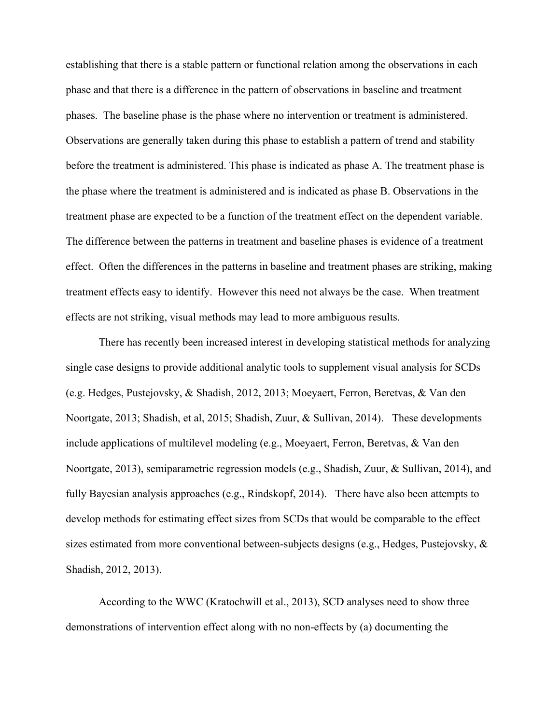establishing that there is a stable pattern or functional relation among the observations in each phase and that there is a difference in the pattern of observations in baseline and treatment phases. The baseline phase is the phase where no intervention or treatment is administered. Observations are generally taken during this phase to establish a pattern of trend and stability before the treatment is administered. This phase is indicated as phase A. The treatment phase is the phase where the treatment is administered and is indicated as phase B. Observations in the treatment phase are expected to be a function of the treatment effect on the dependent variable. The difference between the patterns in treatment and baseline phases is evidence of a treatment effect. Often the differences in the patterns in baseline and treatment phases are striking, making treatment effects easy to identify. However this need not always be the case. When treatment effects are not striking, visual methods may lead to more ambiguous results.

There has recently been increased interest in developing statistical methods for analyzing single case designs to provide additional analytic tools to supplement visual analysis for SCDs (e.g. Hedges, Pustejovsky, & Shadish, 2012, 2013; Moeyaert, Ferron, Beretvas, & Van den Noortgate, 2013; Shadish, et al, 2015; Shadish, Zuur, & Sullivan, 2014). These developments include applications of multilevel modeling (e.g., Moeyaert, Ferron, Beretvas, & Van den Noortgate, 2013), semiparametric regression models (e.g., Shadish, Zuur, & Sullivan, 2014), and fully Bayesian analysis approaches (e.g., Rindskopf, 2014). There have also been attempts to develop methods for estimating effect sizes from SCDs that would be comparable to the effect sizes estimated from more conventional between-subjects designs (e.g., Hedges, Pustejovsky, & Shadish, 2012, 2013).

According to the WWC (Kratochwill et al., 2013), SCD analyses need to show three demonstrations of intervention effect along with no non-effects by (a) documenting the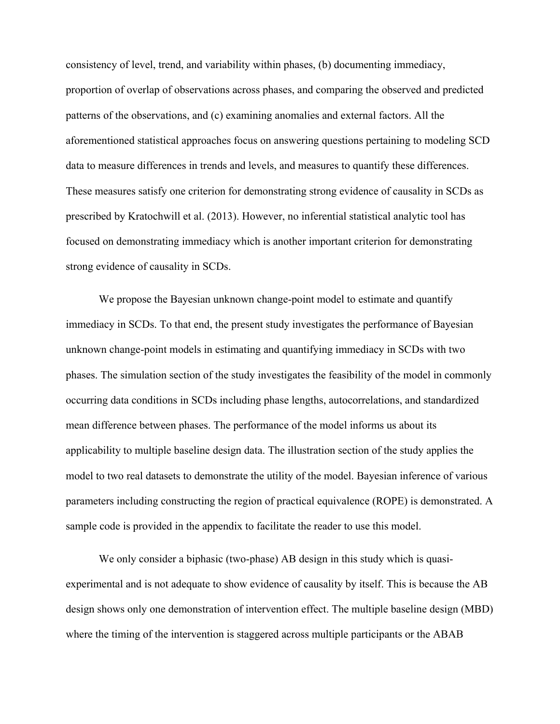consistency of level, trend, and variability within phases, (b) documenting immediacy, proportion of overlap of observations across phases, and comparing the observed and predicted patterns of the observations, and (c) examining anomalies and external factors. All the aforementioned statistical approaches focus on answering questions pertaining to modeling SCD data to measure differences in trends and levels, and measures to quantify these differences. These measures satisfy one criterion for demonstrating strong evidence of causality in SCDs as prescribed by Kratochwill et al. (2013). However, no inferential statistical analytic tool has focused on demonstrating immediacy which is another important criterion for demonstrating strong evidence of causality in SCDs.

We propose the Bayesian unknown change-point model to estimate and quantify immediacy in SCDs. To that end, the present study investigates the performance of Bayesian unknown change-point models in estimating and quantifying immediacy in SCDs with two phases. The simulation section of the study investigates the feasibility of the model in commonly occurring data conditions in SCDs including phase lengths, autocorrelations, and standardized mean difference between phases. The performance of the model informs us about its applicability to multiple baseline design data. The illustration section of the study applies the model to two real datasets to demonstrate the utility of the model. Bayesian inference of various parameters including constructing the region of practical equivalence (ROPE) is demonstrated. A sample code is provided in the appendix to facilitate the reader to use this model.

We only consider a biphasic (two-phase) AB design in this study which is quasiexperimental and is not adequate to show evidence of causality by itself. This is because the AB design shows only one demonstration of intervention effect. The multiple baseline design (MBD) where the timing of the intervention is staggered across multiple participants or the ABAB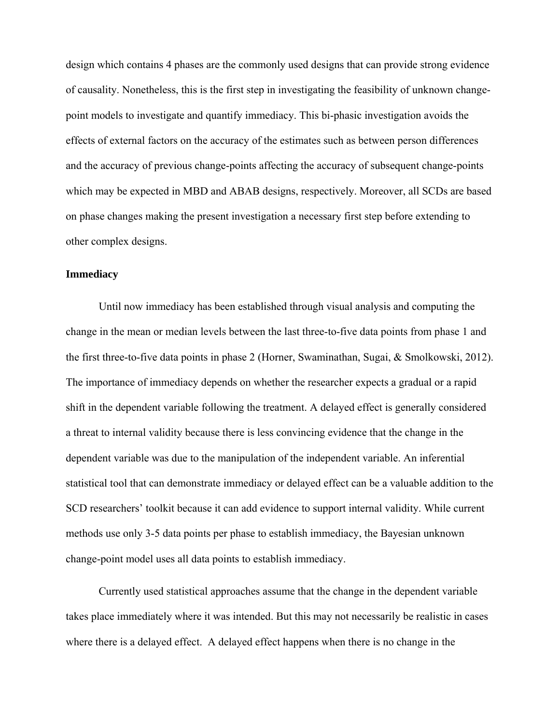design which contains 4 phases are the commonly used designs that can provide strong evidence of causality. Nonetheless, this is the first step in investigating the feasibility of unknown changepoint models to investigate and quantify immediacy. This bi-phasic investigation avoids the effects of external factors on the accuracy of the estimates such as between person differences and the accuracy of previous change-points affecting the accuracy of subsequent change-points which may be expected in MBD and ABAB designs, respectively. Moreover, all SCDs are based on phase changes making the present investigation a necessary first step before extending to other complex designs.

# **Immediacy**

Until now immediacy has been established through visual analysis and computing the change in the mean or median levels between the last three-to-five data points from phase 1 and the first three-to-five data points in phase 2 (Horner, Swaminathan, Sugai, & Smolkowski, 2012). The importance of immediacy depends on whether the researcher expects a gradual or a rapid shift in the dependent variable following the treatment. A delayed effect is generally considered a threat to internal validity because there is less convincing evidence that the change in the dependent variable was due to the manipulation of the independent variable. An inferential statistical tool that can demonstrate immediacy or delayed effect can be a valuable addition to the SCD researchers' toolkit because it can add evidence to support internal validity. While current methods use only 3-5 data points per phase to establish immediacy, the Bayesian unknown change-point model uses all data points to establish immediacy.

Currently used statistical approaches assume that the change in the dependent variable takes place immediately where it was intended. But this may not necessarily be realistic in cases where there is a delayed effect. A delayed effect happens when there is no change in the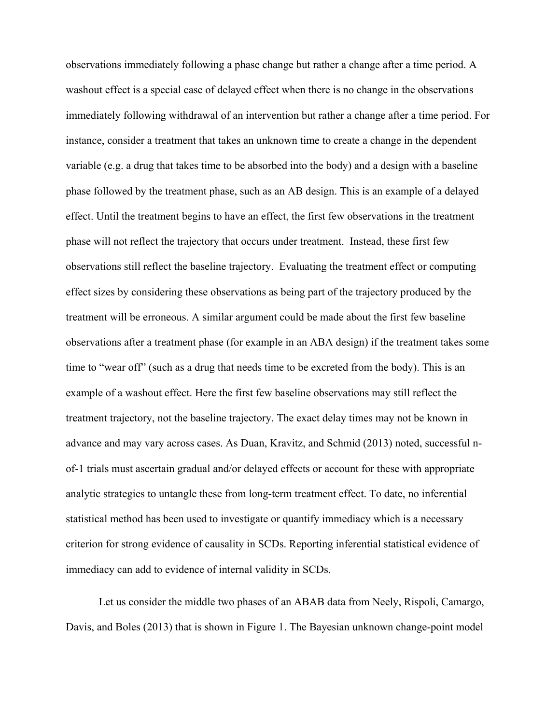observations immediately following a phase change but rather a change after a time period. A washout effect is a special case of delayed effect when there is no change in the observations immediately following withdrawal of an intervention but rather a change after a time period. For instance, consider a treatment that takes an unknown time to create a change in the dependent variable (e.g. a drug that takes time to be absorbed into the body) and a design with a baseline phase followed by the treatment phase, such as an AB design. This is an example of a delayed effect. Until the treatment begins to have an effect, the first few observations in the treatment phase will not reflect the trajectory that occurs under treatment. Instead, these first few observations still reflect the baseline trajectory. Evaluating the treatment effect or computing effect sizes by considering these observations as being part of the trajectory produced by the treatment will be erroneous. A similar argument could be made about the first few baseline observations after a treatment phase (for example in an ABA design) if the treatment takes some time to "wear off" (such as a drug that needs time to be excreted from the body). This is an example of a washout effect. Here the first few baseline observations may still reflect the treatment trajectory, not the baseline trajectory. The exact delay times may not be known in advance and may vary across cases. As Duan, Kravitz, and Schmid (2013) noted, successful nof-1 trials must ascertain gradual and/or delayed effects or account for these with appropriate analytic strategies to untangle these from long-term treatment effect. To date, no inferential statistical method has been used to investigate or quantify immediacy which is a necessary criterion for strong evidence of causality in SCDs. Reporting inferential statistical evidence of immediacy can add to evidence of internal validity in SCDs.

Let us consider the middle two phases of an ABAB data from Neely, Rispoli, Camargo, Davis, and Boles (2013) that is shown in Figure 1. The Bayesian unknown change-point model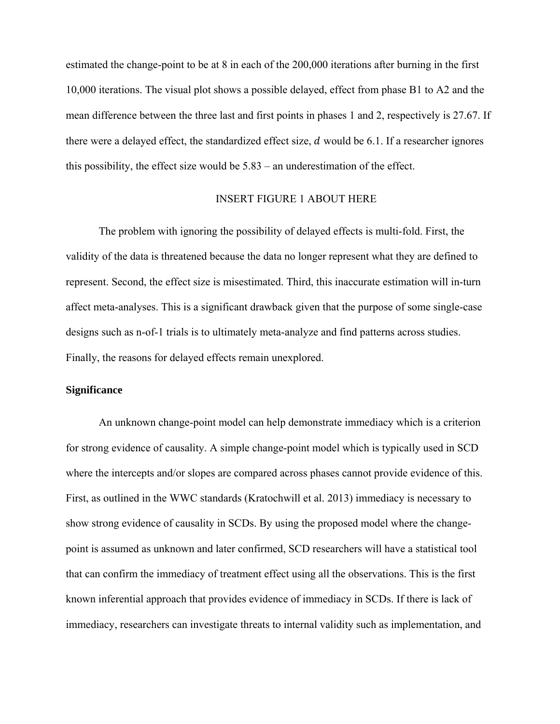estimated the change-point to be at 8 in each of the 200,000 iterations after burning in the first 10,000 iterations. The visual plot shows a possible delayed, effect from phase B1 to A2 and the mean difference between the three last and first points in phases 1 and 2, respectively is 27.67. If there were a delayed effect, the standardized effect size,  $d$  would be 6.1. If a researcher ignores this possibility, the effect size would be 5.83 – an underestimation of the effect.

# INSERT FIGURE 1 ABOUT HERE

The problem with ignoring the possibility of delayed effects is multi-fold. First, the validity of the data is threatened because the data no longer represent what they are defined to represent. Second, the effect size is misestimated. Third, this inaccurate estimation will in-turn affect meta-analyses. This is a significant drawback given that the purpose of some single-case designs such as n-of-1 trials is to ultimately meta-analyze and find patterns across studies. Finally, the reasons for delayed effects remain unexplored.

# **Significance**

An unknown change-point model can help demonstrate immediacy which is a criterion for strong evidence of causality. A simple change-point model which is typically used in SCD where the intercepts and/or slopes are compared across phases cannot provide evidence of this. First, as outlined in the WWC standards (Kratochwill et al. 2013) immediacy is necessary to show strong evidence of causality in SCDs. By using the proposed model where the changepoint is assumed as unknown and later confirmed, SCD researchers will have a statistical tool that can confirm the immediacy of treatment effect using all the observations. This is the first known inferential approach that provides evidence of immediacy in SCDs. If there is lack of immediacy, researchers can investigate threats to internal validity such as implementation, and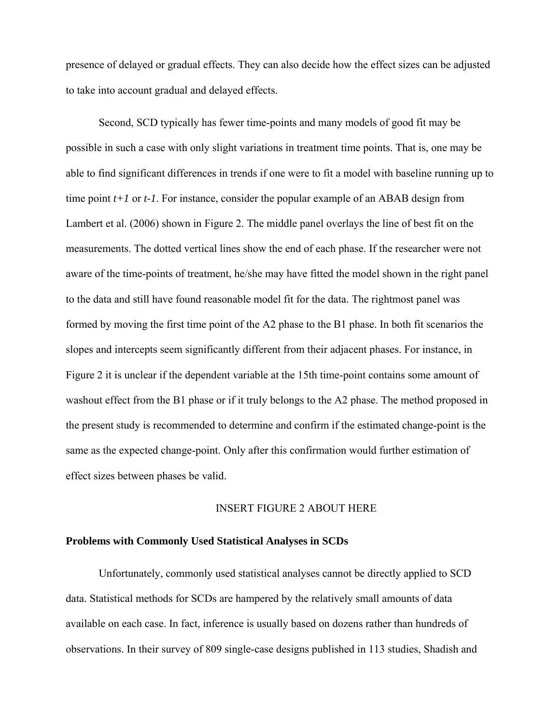presence of delayed or gradual effects. They can also decide how the effect sizes can be adjusted to take into account gradual and delayed effects.

Second, SCD typically has fewer time-points and many models of good fit may be possible in such a case with only slight variations in treatment time points. That is, one may be able to find significant differences in trends if one were to fit a model with baseline running up to time point *t+1* or *t-1*. For instance, consider the popular example of an ABAB design from Lambert et al. (2006) shown in Figure 2. The middle panel overlays the line of best fit on the measurements. The dotted vertical lines show the end of each phase. If the researcher were not aware of the time-points of treatment, he/she may have fitted the model shown in the right panel to the data and still have found reasonable model fit for the data. The rightmost panel was formed by moving the first time point of the A2 phase to the B1 phase. In both fit scenarios the slopes and intercepts seem significantly different from their adjacent phases. For instance, in Figure 2 it is unclear if the dependent variable at the 15th time-point contains some amount of washout effect from the B1 phase or if it truly belongs to the A2 phase. The method proposed in the present study is recommended to determine and confirm if the estimated change-point is the same as the expected change-point. Only after this confirmation would further estimation of effect sizes between phases be valid.

# INSERT FIGURE 2 ABOUT HERE

## **Problems with Commonly Used Statistical Analyses in SCDs**

Unfortunately, commonly used statistical analyses cannot be directly applied to SCD data. Statistical methods for SCDs are hampered by the relatively small amounts of data available on each case. In fact, inference is usually based on dozens rather than hundreds of observations. In their survey of 809 single-case designs published in 113 studies, Shadish and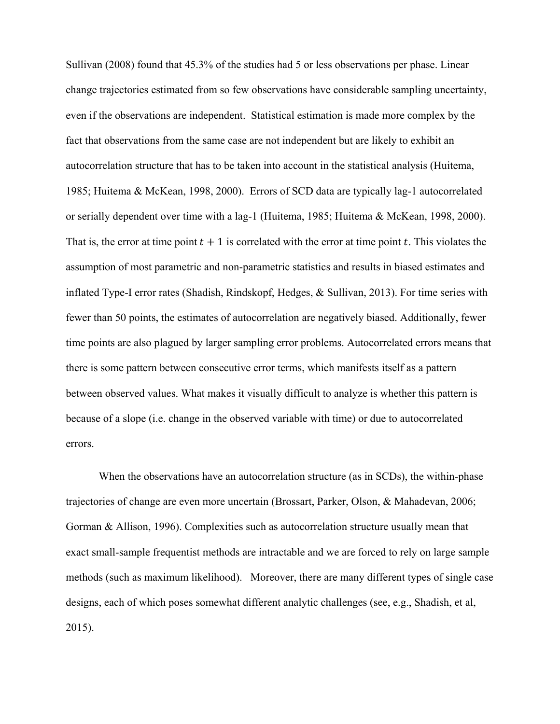Sullivan (2008) found that 45.3% of the studies had 5 or less observations per phase. Linear change trajectories estimated from so few observations have considerable sampling uncertainty, even if the observations are independent. Statistical estimation is made more complex by the fact that observations from the same case are not independent but are likely to exhibit an autocorrelation structure that has to be taken into account in the statistical analysis (Huitema, 1985; Huitema & McKean, 1998, 2000). Errors of SCD data are typically lag-1 autocorrelated or serially dependent over time with a lag-1 (Huitema, 1985; Huitema & McKean, 1998, 2000). That is, the error at time point  $t + 1$  is correlated with the error at time point  $t$ . This violates the assumption of most parametric and non-parametric statistics and results in biased estimates and inflated Type-I error rates (Shadish, Rindskopf, Hedges, & Sullivan, 2013). For time series with fewer than 50 points, the estimates of autocorrelation are negatively biased. Additionally, fewer time points are also plagued by larger sampling error problems. Autocorrelated errors means that there is some pattern between consecutive error terms, which manifests itself as a pattern between observed values. What makes it visually difficult to analyze is whether this pattern is because of a slope (i.e. change in the observed variable with time) or due to autocorrelated errors.

When the observations have an autocorrelation structure (as in SCDs), the within-phase trajectories of change are even more uncertain (Brossart, Parker, Olson, & Mahadevan, 2006; Gorman & Allison, 1996). Complexities such as autocorrelation structure usually mean that exact small-sample frequentist methods are intractable and we are forced to rely on large sample methods (such as maximum likelihood). Moreover, there are many different types of single case designs, each of which poses somewhat different analytic challenges (see, e.g., Shadish, et al, 2015).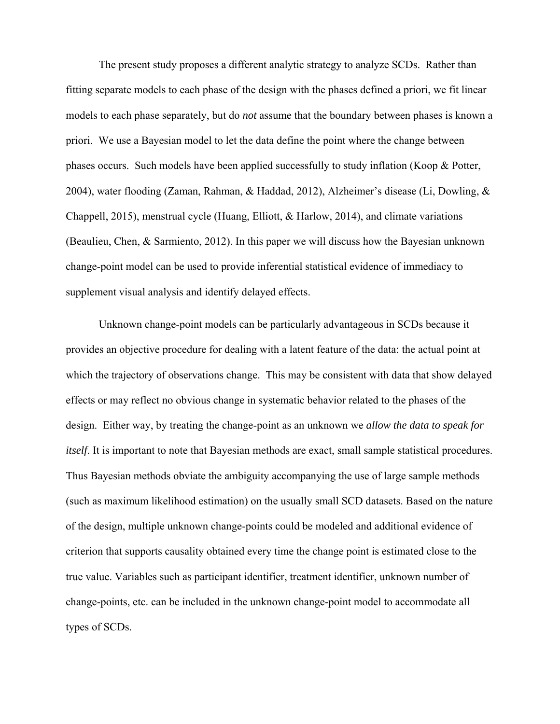The present study proposes a different analytic strategy to analyze SCDs. Rather than fitting separate models to each phase of the design with the phases defined a priori, we fit linear models to each phase separately, but do *not* assume that the boundary between phases is known a priori. We use a Bayesian model to let the data define the point where the change between phases occurs. Such models have been applied successfully to study inflation (Koop & Potter, 2004), water flooding (Zaman, Rahman, & Haddad, 2012), Alzheimer's disease (Li, Dowling, & Chappell, 2015), menstrual cycle (Huang, Elliott, & Harlow, 2014), and climate variations (Beaulieu, Chen, & Sarmiento, 2012). In this paper we will discuss how the Bayesian unknown change-point model can be used to provide inferential statistical evidence of immediacy to supplement visual analysis and identify delayed effects.

Unknown change-point models can be particularly advantageous in SCDs because it provides an objective procedure for dealing with a latent feature of the data: the actual point at which the trajectory of observations change. This may be consistent with data that show delayed effects or may reflect no obvious change in systematic behavior related to the phases of the design. Either way, by treating the change-point as an unknown we *allow the data to speak for itself.* It is important to note that Bayesian methods are exact, small sample statistical procedures. Thus Bayesian methods obviate the ambiguity accompanying the use of large sample methods (such as maximum likelihood estimation) on the usually small SCD datasets. Based on the nature of the design, multiple unknown change-points could be modeled and additional evidence of criterion that supports causality obtained every time the change point is estimated close to the true value. Variables such as participant identifier, treatment identifier, unknown number of change-points, etc. can be included in the unknown change-point model to accommodate all types of SCDs.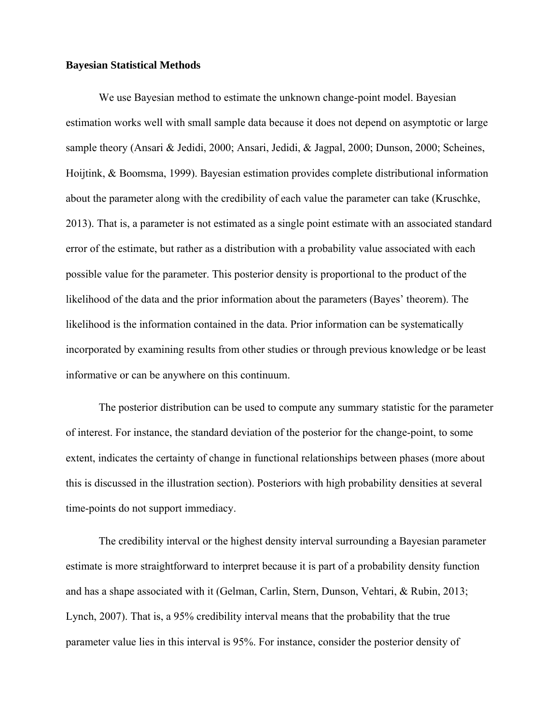# **Bayesian Statistical Methods**

We use Bayesian method to estimate the unknown change-point model. Bayesian estimation works well with small sample data because it does not depend on asymptotic or large sample theory (Ansari & Jedidi, 2000; Ansari, Jedidi, & Jagpal, 2000; Dunson, 2000; Scheines, Hoijtink, & Boomsma, 1999). Bayesian estimation provides complete distributional information about the parameter along with the credibility of each value the parameter can take (Kruschke, 2013). That is, a parameter is not estimated as a single point estimate with an associated standard error of the estimate, but rather as a distribution with a probability value associated with each possible value for the parameter. This posterior density is proportional to the product of the likelihood of the data and the prior information about the parameters (Bayes' theorem). The likelihood is the information contained in the data. Prior information can be systematically incorporated by examining results from other studies or through previous knowledge or be least informative or can be anywhere on this continuum.

The posterior distribution can be used to compute any summary statistic for the parameter of interest. For instance, the standard deviation of the posterior for the change-point, to some extent, indicates the certainty of change in functional relationships between phases (more about this is discussed in the illustration section). Posteriors with high probability densities at several time-points do not support immediacy.

The credibility interval or the highest density interval surrounding a Bayesian parameter estimate is more straightforward to interpret because it is part of a probability density function and has a shape associated with it (Gelman, Carlin, Stern, Dunson, Vehtari, & Rubin, 2013; Lynch, 2007). That is, a 95% credibility interval means that the probability that the true parameter value lies in this interval is 95%. For instance, consider the posterior density of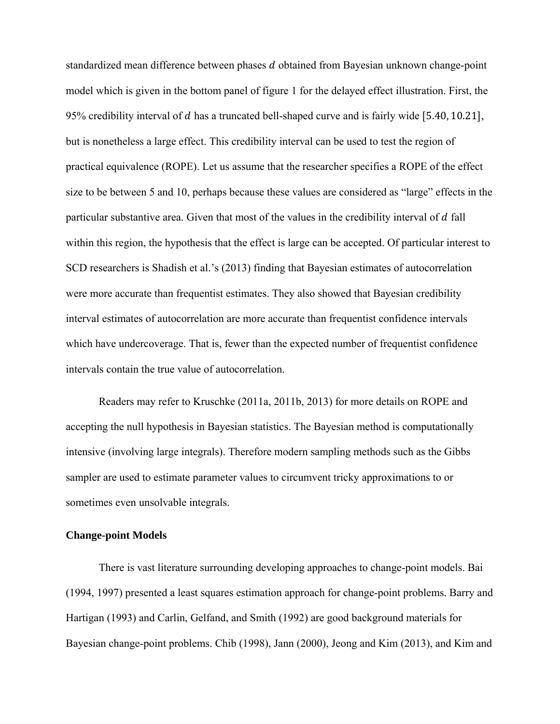standardized mean difference between phases d obtained from Bayesian unknown change-point model which is given in the bottom panel of figure 1 for the delayed effect illustration. First, the 95% credibility interval of  $d$  has a truncated bell-shaped curve and is fairly wide  $[5.40, 10.21]$ , but is nonetheless a large effect. This credibility interval can be used to test the region of practical equivalence (ROPE). Let us assume that the researcher specifies a ROPE of the effect size to be between 5 and 10, perhaps because these values are considered as "large" effects in the particular substantive area. Given that most of the values in the credibility interval of  $d$  fall within this region, the hypothesis that the effect is large can be accepted. Of particular interest to SCD researchers is Shadish et al.'s (2013) finding that Bayesian estimates of autocorrelation were more accurate than frequentist estimates. They also showed that Bayesian credibility interval estimates of autocorrelation are more accurate than frequentist confidence intervals which have undercoverage. That is, fewer than the expected number of frequentist confidence intervals contain the true value of autocorrelation.

Readers may refer to Kruschke (2011a, 2011b, 2013) for more details on ROPE and accepting the null hypothesis in Bayesian statistics. The Bayesian method is computationally intensive (involving large integrals). Therefore modern sampling methods such as the Gibbs sampler are used to estimate parameter values to circumvent tricky approximations to or sometimes even unsolvable integrals.

# **Change-point Models**

There is vast literature surrounding developing approaches to change-point models. Bai (1994, 1997) presented a least squares estimation approach for change-point problems. Barry and Hartigan (1993) and Carlin, Gelfand, and Smith (1992) are good background materials for Bayesian change-point problems. Chib (1998), Jann (2000), Jeong and Kim (2013), and Kim and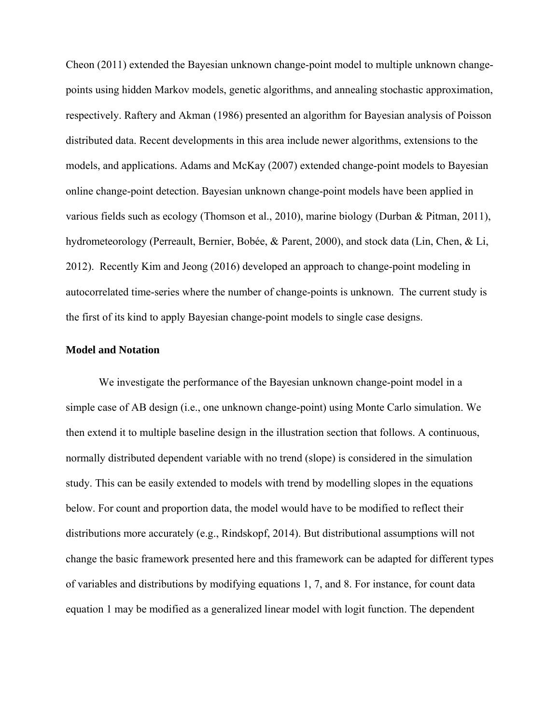Cheon (2011) extended the Bayesian unknown change-point model to multiple unknown changepoints using hidden Markov models, genetic algorithms, and annealing stochastic approximation, respectively. Raftery and Akman (1986) presented an algorithm for Bayesian analysis of Poisson distributed data. Recent developments in this area include newer algorithms, extensions to the models, and applications. Adams and McKay (2007) extended change-point models to Bayesian online change-point detection. Bayesian unknown change-point models have been applied in various fields such as ecology (Thomson et al., 2010), marine biology (Durban & Pitman, 2011), hydrometeorology (Perreault, Bernier, Bobée, & Parent, 2000), and stock data (Lin, Chen, & Li, 2012). Recently Kim and Jeong (2016) developed an approach to change-point modeling in autocorrelated time-series where the number of change-points is unknown. The current study is the first of its kind to apply Bayesian change-point models to single case designs.

## **Model and Notation**

We investigate the performance of the Bayesian unknown change-point model in a simple case of AB design (i.e., one unknown change-point) using Monte Carlo simulation. We then extend it to multiple baseline design in the illustration section that follows. A continuous, normally distributed dependent variable with no trend (slope) is considered in the simulation study. This can be easily extended to models with trend by modelling slopes in the equations below. For count and proportion data, the model would have to be modified to reflect their distributions more accurately (e.g., Rindskopf, 2014). But distributional assumptions will not change the basic framework presented here and this framework can be adapted for different types of variables and distributions by modifying equations 1, 7, and 8. For instance, for count data equation 1 may be modified as a generalized linear model with logit function. The dependent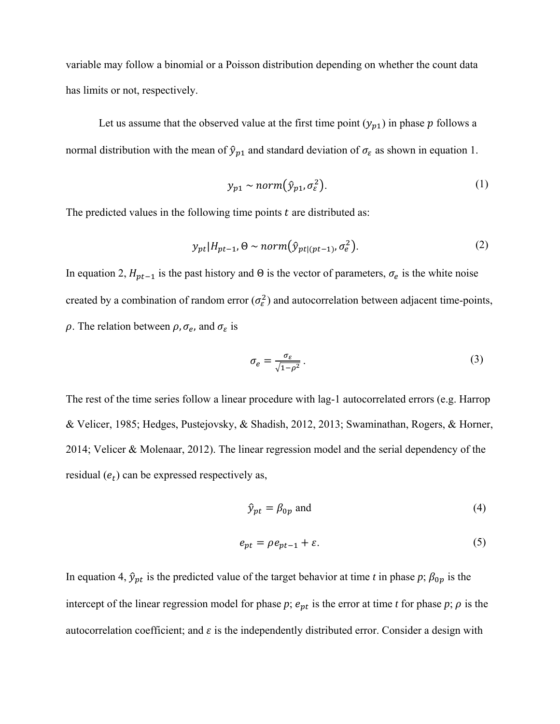variable may follow a binomial or a Poisson distribution depending on whether the count data has limits or not, respectively.

Let us assume that the observed value at the first time point  $(y_{p1})$  in phase p follows a normal distribution with the mean of  $\hat{y}_{p1}$  and standard deviation of  $\sigma_{\varepsilon}$  as shown in equation 1.

$$
y_{p1} \sim norm(\hat{y}_{p1}, \sigma_{\varepsilon}^2). \tag{1}
$$

The predicted values in the following time points  $t$  are distributed as:

$$
y_{pt}|H_{pt-1}, \Theta \sim norm(\hat{y}_{pt|(pt-1)}, \sigma_e^2). \tag{2}
$$

In equation 2,  $H_{pt-1}$  is the past history and  $\Theta$  is the vector of parameters,  $\sigma_e$  is the white noise created by a combination of random error  $(\sigma_{\varepsilon}^2)$  and autocorrelation between adjacent time-points,  $\rho$ . The relation between  $\rho$ ,  $\sigma_e$ , and  $\sigma_{\varepsilon}$  is

$$
\sigma_e = \frac{\sigma_\varepsilon}{\sqrt{1 - \rho^2}} \,. \tag{3}
$$

The rest of the time series follow a linear procedure with lag-1 autocorrelated errors (e.g. Harrop & Velicer, 1985; Hedges, Pustejovsky, & Shadish, 2012, 2013; Swaminathan, Rogers, & Horner, 2014; Velicer & Molenaar, 2012). The linear regression model and the serial dependency of the residual  $(e_t)$  can be expressed respectively as,

$$
\hat{y}_{pt} = \beta_{0p} \text{ and } \tag{4}
$$

$$
e_{pt} = \rho e_{pt-1} + \varepsilon. \tag{5}
$$

In equation 4,  $\hat{y}_{pt}$  is the predicted value of the target behavior at time *t* in phase *p*;  $\beta_{0p}$  is the intercept of the linear regression model for phase  $p$ ;  $e_{pt}$  is the error at time  $t$  for phase  $p$ ;  $\rho$  is the autocorrelation coefficient; and  $\varepsilon$  is the independently distributed error. Consider a design with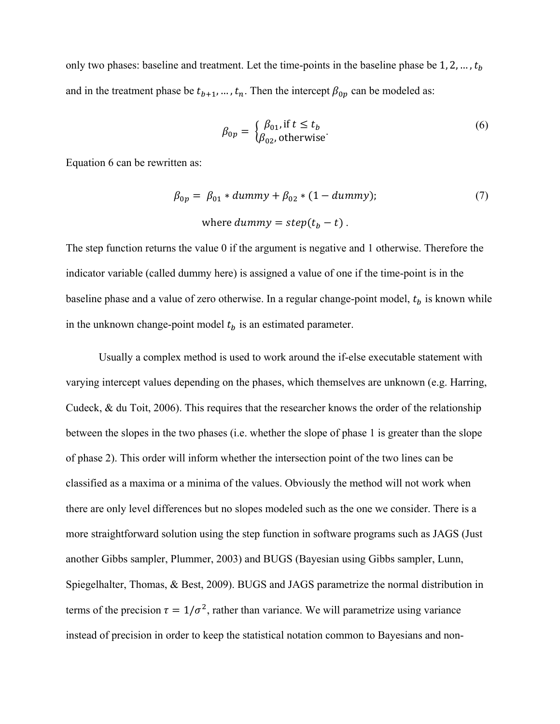only two phases: baseline and treatment. Let the time-points in the baseline phase be  $1, 2, ..., t_h$ and in the treatment phase be  $t_{b+1}, \ldots, t_n$ . Then the intercept  $\beta_{0p}$  can be modeled as:

$$
\beta_{0p} = \begin{cases} \beta_{01}, \text{if } t \le t_b \\ \beta_{02}, \text{otherwise} \end{cases}
$$
 (6)

Equation 6 can be rewritten as:

$$
\beta_{0p} = \beta_{01} * dummy + \beta_{02} * (1 - dummy); \tag{7}
$$
  
where dummy = step $(t_b - t)$ .

The step function returns the value 0 if the argument is negative and 1 otherwise. Therefore the indicator variable (called dummy here) is assigned a value of one if the time-point is in the baseline phase and a value of zero otherwise. In a regular change-point model,  $t<sub>b</sub>$  is known while in the unknown change-point model  $t<sub>b</sub>$  is an estimated parameter.

Usually a complex method is used to work around the if-else executable statement with varying intercept values depending on the phases, which themselves are unknown (e.g. Harring, Cudeck, & du Toit, 2006). This requires that the researcher knows the order of the relationship between the slopes in the two phases (i.e. whether the slope of phase 1 is greater than the slope of phase 2). This order will inform whether the intersection point of the two lines can be classified as a maxima or a minima of the values. Obviously the method will not work when there are only level differences but no slopes modeled such as the one we consider. There is a more straightforward solution using the step function in software programs such as JAGS (Just another Gibbs sampler, Plummer, 2003) and BUGS (Bayesian using Gibbs sampler, Lunn, Spiegelhalter, Thomas, & Best, 2009). BUGS and JAGS parametrize the normal distribution in terms of the precision  $\tau = 1/\sigma^2$ , rather than variance. We will parametrize using variance instead of precision in order to keep the statistical notation common to Bayesians and non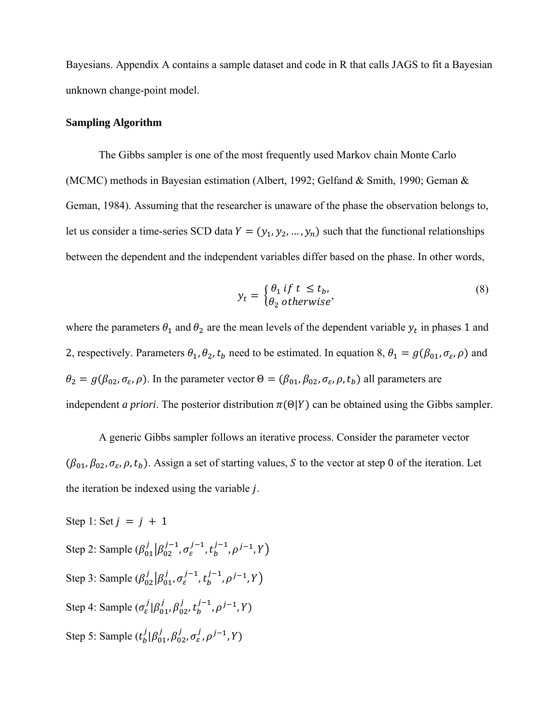Bayesians. Appendix A contains a sample dataset and code in R that calls JAGS to fit a Bayesian unknown change-point model.

## **Sampling Algorithm**

The Gibbs sampler is one of the most frequently used Markov chain Monte Carlo (MCMC) methods in Bayesian estimation (Albert, 1992; Gelfand & Smith, 1990; Geman & Geman, 1984). Assuming that the researcher is unaware of the phase the observation belongs to, let us consider a time-series SCD data  $Y = (y_1, y_2, ..., y_n)$  such that the functional relationships between the dependent and the independent variables differ based on the phase. In other words,

$$
y_t = \begin{cases} \theta_1 & \text{if } t \le t_b, \\ \theta_2 & \text{otherwise} \end{cases}
$$
 (8)

where the parameters  $\theta_1$  and  $\theta_2$  are the mean levels of the dependent variable  $y_t$  in phases 1 and 2, respectively. Parameters  $\theta_1$ ,  $\theta_2$ ,  $t_b$  need to be estimated. In equation 8,  $\theta_1 = g(\beta_{01}, \sigma_{\varepsilon}, \rho)$  and  $\theta_2 = g(\beta_{02}, \sigma_{\varepsilon}, \rho)$ . In the parameter vector  $\Theta = (\beta_{01}, \beta_{02}, \sigma_{\varepsilon}, \rho, t_b)$  all parameters are independent *a priori*. The posterior distribution  $\pi(\Theta|Y)$  can be obtained using the Gibbs sampler.

A generic Gibbs sampler follows an iterative process. Consider the parameter vector  $(\beta_{01}, \beta_{02}, \sigma_{\epsilon}, \rho, t_b)$ . Assign a set of starting values, S to the vector at step 0 of the iteration. Let the iteration be indexed using the variable *.* 

Step 1: Set  $j = j + 1$ Step 2: Sample  $(\beta_{01}^j | \beta_{02}^{j-1}, \sigma_{\varepsilon}^{j-1}, t_b^{j-1}, \rho^{j-1}, Y)$ Step 3: Sample  $(\beta_{02}^j | \beta_{01}^j, \sigma_{\varepsilon}^{j-1}, t_b^{j-1}, \rho^{j-1}, Y)$ Step 4: Sample  $(\sigma_{\varepsilon}^j | \beta_{01}^j, \beta_{02}^j, t_b^{j-1}, \rho^{j-1}, Y)$ Step 5: Sample  $(t_b^j | \beta_{01}^j, \beta_{02}^j, \sigma_{\varepsilon}^j, \rho^{j-1}, Y)$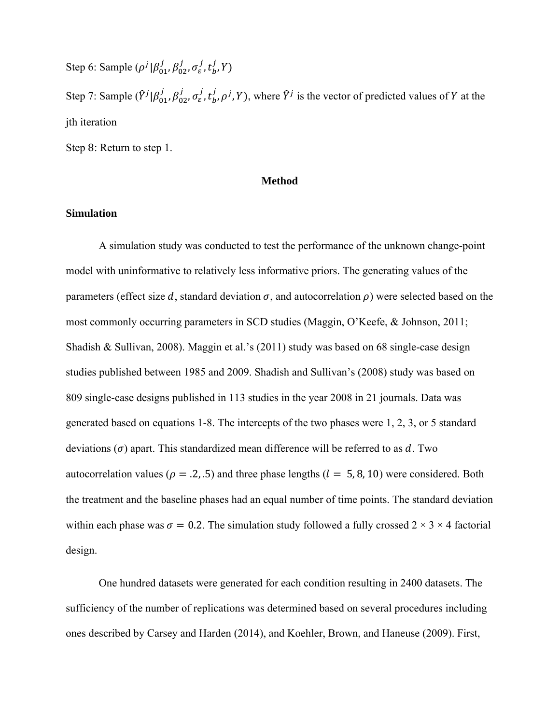Step 6: Sample  $(\rho^j | \beta_{01}^j, \beta_{02}^j, \sigma_\varepsilon^j, t_b^j, Y)$ Step 7: Sample  $(\hat{Y}^j | \beta_{01}^j, \beta_{02}^j, \sigma_{\varepsilon}^j, t_b^j, \rho^j, Y)$ , where  $\hat{Y}^j$  is the vector of predicted values of Y at the jth iteration Step 8: Return to step 1.

# **Method**

# **Simulation**

A simulation study was conducted to test the performance of the unknown change-point model with uninformative to relatively less informative priors. The generating values of the parameters (effect size d, standard deviation  $\sigma$ , and autocorrelation  $\rho$ ) were selected based on the most commonly occurring parameters in SCD studies (Maggin, O'Keefe, & Johnson, 2011; Shadish & Sullivan, 2008). Maggin et al.'s (2011) study was based on 68 single-case design studies published between 1985 and 2009. Shadish and Sullivan's (2008) study was based on 809 single-case designs published in 113 studies in the year 2008 in 21 journals. Data was generated based on equations 1-8. The intercepts of the two phases were 1, 2, 3, or 5 standard deviations  $(\sigma)$  apart. This standardized mean difference will be referred to as d. Two autocorrelation values ( $\rho = .2, .5$ ) and three phase lengths ( $l = 5, 8, 10$ ) were considered. Both the treatment and the baseline phases had an equal number of time points. The standard deviation within each phase was  $\sigma = 0.2$ . The simulation study followed a fully crossed  $2 \times 3 \times 4$  factorial design.

One hundred datasets were generated for each condition resulting in 2400 datasets. The sufficiency of the number of replications was determined based on several procedures including ones described by Carsey and Harden (2014), and Koehler, Brown, and Haneuse (2009). First,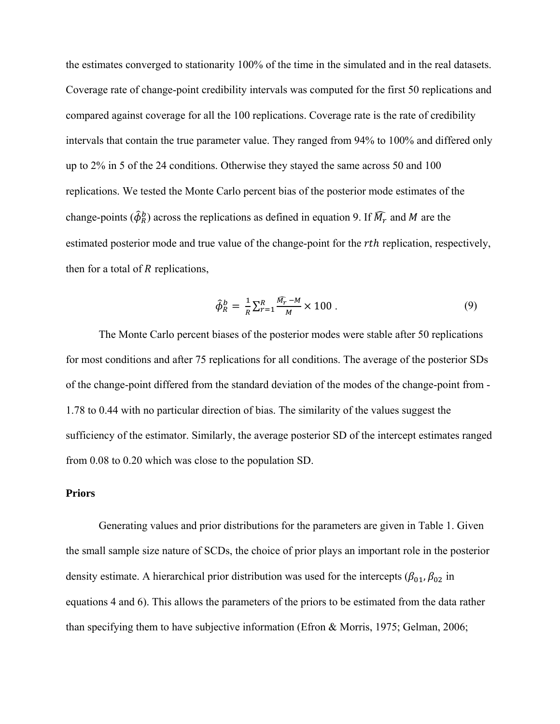the estimates converged to stationarity 100% of the time in the simulated and in the real datasets. Coverage rate of change-point credibility intervals was computed for the first 50 replications and compared against coverage for all the 100 replications. Coverage rate is the rate of credibility intervals that contain the true parameter value. They ranged from 94% to 100% and differed only up to 2% in 5 of the 24 conditions. Otherwise they stayed the same across 50 and 100 replications. We tested the Monte Carlo percent bias of the posterior mode estimates of the change-points ( $\hat{\phi}_R^b$ ) across the replications as defined in equation 9. If  $\widehat{M}_r$  and M are the estimated posterior mode and true value of the change-point for the *rth* replication, respectively, then for a total of  $R$  replications,

$$
\hat{\phi}_R^b = \frac{1}{R} \sum_{r=1}^R \frac{\widehat{M_r} - M}{M} \times 100 \,. \tag{9}
$$

The Monte Carlo percent biases of the posterior modes were stable after 50 replications for most conditions and after 75 replications for all conditions. The average of the posterior SDs of the change-point differed from the standard deviation of the modes of the change-point from - 1.78 to 0.44 with no particular direction of bias. The similarity of the values suggest the sufficiency of the estimator. Similarly, the average posterior SD of the intercept estimates ranged from 0.08 to 0.20 which was close to the population SD.

# **Priors**

Generating values and prior distributions for the parameters are given in Table 1. Given the small sample size nature of SCDs, the choice of prior plays an important role in the posterior density estimate. A hierarchical prior distribution was used for the intercepts ( $\beta_{01}, \beta_{02}$  in equations 4 and 6). This allows the parameters of the priors to be estimated from the data rather than specifying them to have subjective information (Efron & Morris, 1975; Gelman, 2006;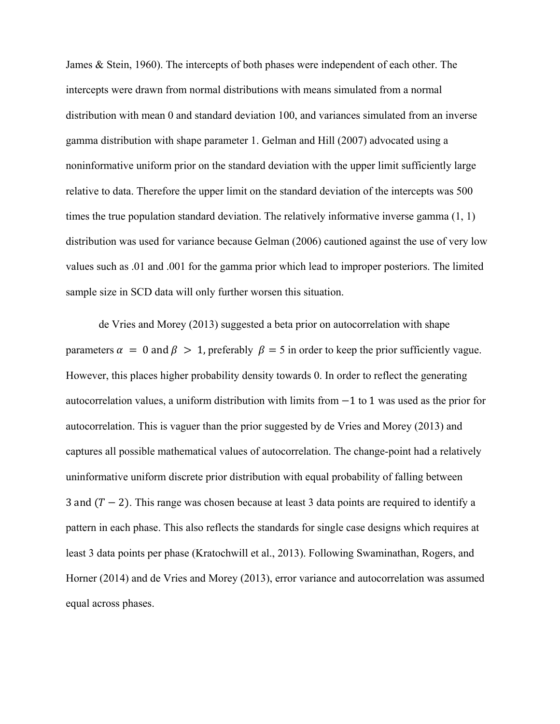James & Stein, 1960). The intercepts of both phases were independent of each other. The intercepts were drawn from normal distributions with means simulated from a normal distribution with mean 0 and standard deviation 100, and variances simulated from an inverse gamma distribution with shape parameter 1. Gelman and Hill (2007) advocated using a noninformative uniform prior on the standard deviation with the upper limit sufficiently large relative to data. Therefore the upper limit on the standard deviation of the intercepts was 500 times the true population standard deviation. The relatively informative inverse gamma (1, 1) distribution was used for variance because Gelman (2006) cautioned against the use of very low values such as .01 and .001 for the gamma prior which lead to improper posteriors. The limited sample size in SCD data will only further worsen this situation.

de Vries and Morey (2013) suggested a beta prior on autocorrelation with shape parameters  $\alpha = 0$  and  $\beta > 1$ , preferably  $\beta = 5$  in order to keep the prior sufficiently vague. However, this places higher probability density towards 0. In order to reflect the generating autocorrelation values, a uniform distribution with limits from  $-1$  to 1 was used as the prior for autocorrelation. This is vaguer than the prior suggested by de Vries and Morey (2013) and captures all possible mathematical values of autocorrelation. The change-point had a relatively uninformative uniform discrete prior distribution with equal probability of falling between 3 and  $(T - 2)$ . This range was chosen because at least 3 data points are required to identify a pattern in each phase. This also reflects the standards for single case designs which requires at least 3 data points per phase (Kratochwill et al., 2013). Following Swaminathan, Rogers, and Horner (2014) and de Vries and Morey (2013), error variance and autocorrelation was assumed equal across phases.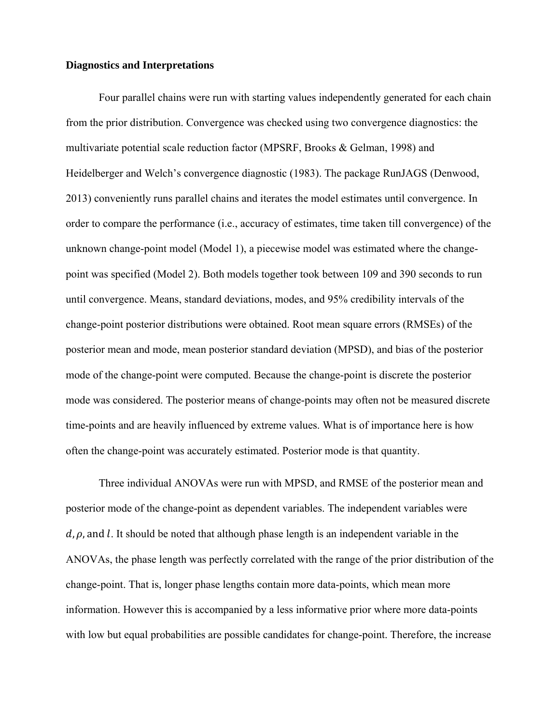## **Diagnostics and Interpretations**

Four parallel chains were run with starting values independently generated for each chain from the prior distribution. Convergence was checked using two convergence diagnostics: the multivariate potential scale reduction factor (MPSRF, Brooks & Gelman, 1998) and Heidelberger and Welch's convergence diagnostic (1983). The package RunJAGS (Denwood, 2013) conveniently runs parallel chains and iterates the model estimates until convergence. In order to compare the performance (i.e., accuracy of estimates, time taken till convergence) of the unknown change-point model (Model 1), a piecewise model was estimated where the changepoint was specified (Model 2). Both models together took between 109 and 390 seconds to run until convergence. Means, standard deviations, modes, and 95% credibility intervals of the change-point posterior distributions were obtained. Root mean square errors (RMSEs) of the posterior mean and mode, mean posterior standard deviation (MPSD), and bias of the posterior mode of the change-point were computed. Because the change-point is discrete the posterior mode was considered. The posterior means of change-points may often not be measured discrete time-points and are heavily influenced by extreme values. What is of importance here is how often the change-point was accurately estimated. Posterior mode is that quantity.

Three individual ANOVAs were run with MPSD, and RMSE of the posterior mean and posterior mode of the change-point as dependent variables. The independent variables were  $d$ ,  $\rho$ , and l. It should be noted that although phase length is an independent variable in the ANOVAs, the phase length was perfectly correlated with the range of the prior distribution of the change-point. That is, longer phase lengths contain more data-points, which mean more information. However this is accompanied by a less informative prior where more data-points with low but equal probabilities are possible candidates for change-point. Therefore, the increase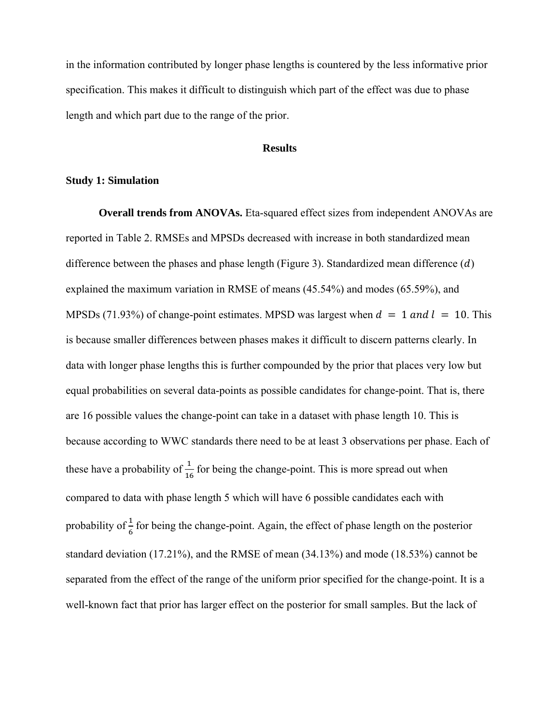in the information contributed by longer phase lengths is countered by the less informative prior specification. This makes it difficult to distinguish which part of the effect was due to phase length and which part due to the range of the prior.

# **Results**

# **Study 1: Simulation**

**Overall trends from ANOVAs.** Eta-squared effect sizes from independent ANOVAs are reported in Table 2. RMSEs and MPSDs decreased with increase in both standardized mean difference between the phases and phase length (Figure 3). Standardized mean difference  $(d)$ explained the maximum variation in RMSE of means (45.54%) and modes (65.59%), and MPSDs (71.93%) of change-point estimates. MPSD was largest when  $d = 1$  and  $l = 10$ . This is because smaller differences between phases makes it difficult to discern patterns clearly. In data with longer phase lengths this is further compounded by the prior that places very low but equal probabilities on several data-points as possible candidates for change-point. That is, there are 16 possible values the change-point can take in a dataset with phase length 10. This is because according to WWC standards there need to be at least 3 observations per phase. Each of these have a probability of  $\frac{1}{16}$  for being the change-point. This is more spread out when compared to data with phase length 5 which will have 6 possible candidates each with probability of  $\frac{1}{6}$  for being the change-point. Again, the effect of phase length on the posterior standard deviation (17.21%), and the RMSE of mean (34.13%) and mode (18.53%) cannot be separated from the effect of the range of the uniform prior specified for the change-point. It is a well-known fact that prior has larger effect on the posterior for small samples. But the lack of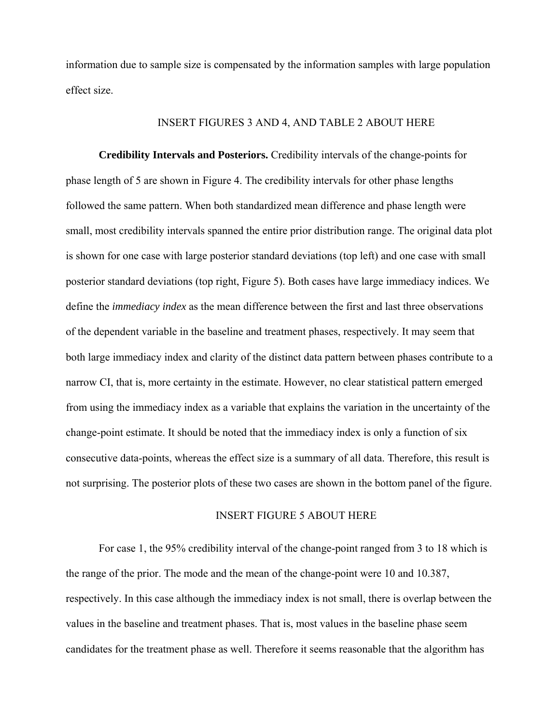information due to sample size is compensated by the information samples with large population effect size.

# INSERT FIGURES 3 AND 4, AND TABLE 2 ABOUT HERE

**Credibility Intervals and Posteriors.** Credibility intervals of the change-points for phase length of 5 are shown in Figure 4. The credibility intervals for other phase lengths followed the same pattern. When both standardized mean difference and phase length were small, most credibility intervals spanned the entire prior distribution range. The original data plot is shown for one case with large posterior standard deviations (top left) and one case with small posterior standard deviations (top right, Figure 5). Both cases have large immediacy indices. We define the *immediacy index* as the mean difference between the first and last three observations of the dependent variable in the baseline and treatment phases, respectively. It may seem that both large immediacy index and clarity of the distinct data pattern between phases contribute to a narrow CI, that is, more certainty in the estimate. However, no clear statistical pattern emerged from using the immediacy index as a variable that explains the variation in the uncertainty of the change-point estimate. It should be noted that the immediacy index is only a function of six consecutive data-points, whereas the effect size is a summary of all data. Therefore, this result is not surprising. The posterior plots of these two cases are shown in the bottom panel of the figure.

# INSERT FIGURE 5 ABOUT HERE

For case 1, the 95% credibility interval of the change-point ranged from 3 to 18 which is the range of the prior. The mode and the mean of the change-point were 10 and 10.387, respectively. In this case although the immediacy index is not small, there is overlap between the values in the baseline and treatment phases. That is, most values in the baseline phase seem candidates for the treatment phase as well. Therefore it seems reasonable that the algorithm has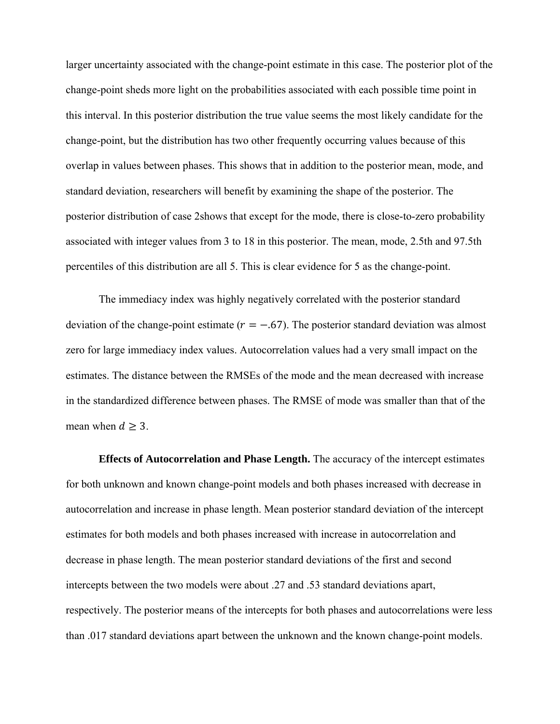larger uncertainty associated with the change-point estimate in this case. The posterior plot of the change-point sheds more light on the probabilities associated with each possible time point in this interval. In this posterior distribution the true value seems the most likely candidate for the change-point, but the distribution has two other frequently occurring values because of this overlap in values between phases. This shows that in addition to the posterior mean, mode, and standard deviation, researchers will benefit by examining the shape of the posterior. The posterior distribution of case 2shows that except for the mode, there is close-to-zero probability associated with integer values from 3 to 18 in this posterior. The mean, mode, 2.5th and 97.5th percentiles of this distribution are all 5. This is clear evidence for 5 as the change-point.

The immediacy index was highly negatively correlated with the posterior standard deviation of the change-point estimate ( $r = -.67$ ). The posterior standard deviation was almost zero for large immediacy index values. Autocorrelation values had a very small impact on the estimates. The distance between the RMSEs of the mode and the mean decreased with increase in the standardized difference between phases. The RMSE of mode was smaller than that of the mean when  $d \geq 3$ .

**Effects of Autocorrelation and Phase Length.** The accuracy of the intercept estimates for both unknown and known change-point models and both phases increased with decrease in autocorrelation and increase in phase length. Mean posterior standard deviation of the intercept estimates for both models and both phases increased with increase in autocorrelation and decrease in phase length. The mean posterior standard deviations of the first and second intercepts between the two models were about .27 and .53 standard deviations apart, respectively. The posterior means of the intercepts for both phases and autocorrelations were less than .017 standard deviations apart between the unknown and the known change-point models.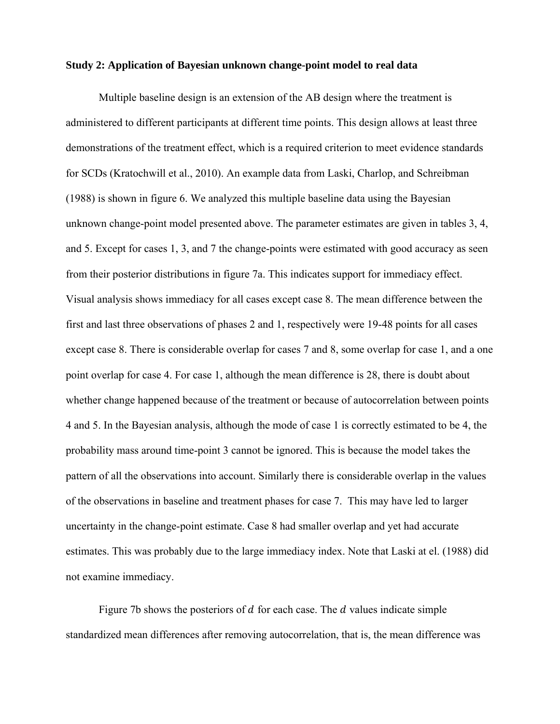### **Study 2: Application of Bayesian unknown change-point model to real data**

Multiple baseline design is an extension of the AB design where the treatment is administered to different participants at different time points. This design allows at least three demonstrations of the treatment effect, which is a required criterion to meet evidence standards for SCDs (Kratochwill et al., 2010). An example data from Laski, Charlop, and Schreibman (1988) is shown in figure 6. We analyzed this multiple baseline data using the Bayesian unknown change-point model presented above. The parameter estimates are given in tables 3, 4, and 5. Except for cases 1, 3, and 7 the change-points were estimated with good accuracy as seen from their posterior distributions in figure 7a. This indicates support for immediacy effect. Visual analysis shows immediacy for all cases except case 8. The mean difference between the first and last three observations of phases 2 and 1, respectively were 19-48 points for all cases except case 8. There is considerable overlap for cases 7 and 8, some overlap for case 1, and a one point overlap for case 4. For case 1, although the mean difference is 28, there is doubt about whether change happened because of the treatment or because of autocorrelation between points 4 and 5. In the Bayesian analysis, although the mode of case 1 is correctly estimated to be 4, the probability mass around time-point 3 cannot be ignored. This is because the model takes the pattern of all the observations into account. Similarly there is considerable overlap in the values of the observations in baseline and treatment phases for case 7. This may have led to larger uncertainty in the change-point estimate. Case 8 had smaller overlap and yet had accurate estimates. This was probably due to the large immediacy index. Note that Laski at el. (1988) did not examine immediacy.

Figure 7b shows the posteriors of  $d$  for each case. The  $d$  values indicate simple standardized mean differences after removing autocorrelation, that is, the mean difference was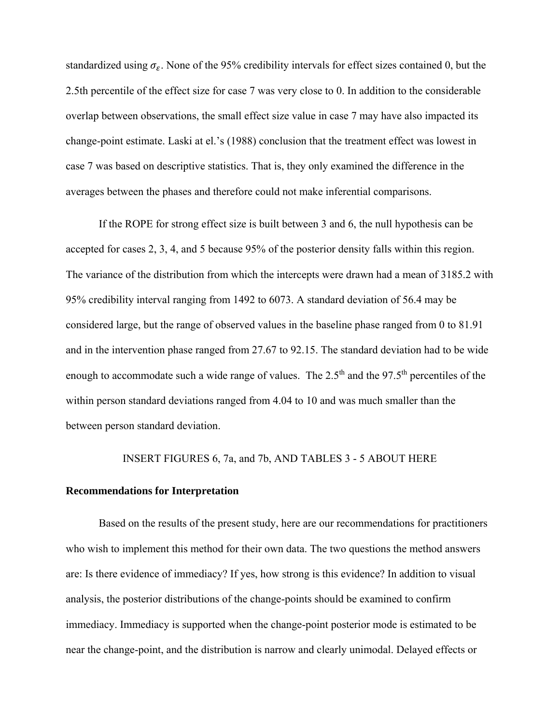standardized using  $\sigma_{\rm s}$ . None of the 95% credibility intervals for effect sizes contained 0, but the 2.5th percentile of the effect size for case 7 was very close to 0. In addition to the considerable overlap between observations, the small effect size value in case 7 may have also impacted its change-point estimate. Laski at el.'s (1988) conclusion that the treatment effect was lowest in case 7 was based on descriptive statistics. That is, they only examined the difference in the averages between the phases and therefore could not make inferential comparisons.

If the ROPE for strong effect size is built between 3 and 6, the null hypothesis can be accepted for cases 2, 3, 4, and 5 because 95% of the posterior density falls within this region. The variance of the distribution from which the intercepts were drawn had a mean of 3185.2 with 95% credibility interval ranging from 1492 to 6073. A standard deviation of 56.4 may be considered large, but the range of observed values in the baseline phase ranged from 0 to 81.91 and in the intervention phase ranged from 27.67 to 92.15. The standard deviation had to be wide enough to accommodate such a wide range of values. The  $2.5<sup>th</sup>$  and the 97.5<sup>th</sup> percentiles of the within person standard deviations ranged from 4.04 to 10 and was much smaller than the between person standard deviation.

# INSERT FIGURES 6, 7a, and 7b, AND TABLES 3 - 5 ABOUT HERE

#### **Recommendations for Interpretation**

Based on the results of the present study, here are our recommendations for practitioners who wish to implement this method for their own data. The two questions the method answers are: Is there evidence of immediacy? If yes, how strong is this evidence? In addition to visual analysis, the posterior distributions of the change-points should be examined to confirm immediacy. Immediacy is supported when the change-point posterior mode is estimated to be near the change-point, and the distribution is narrow and clearly unimodal. Delayed effects or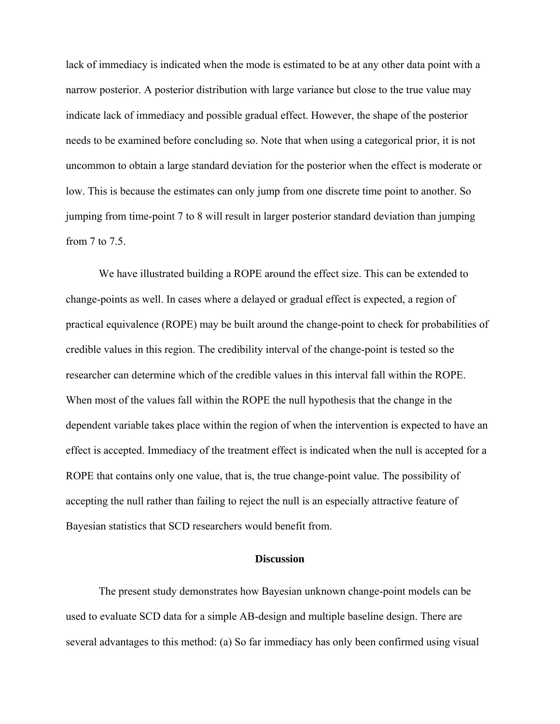lack of immediacy is indicated when the mode is estimated to be at any other data point with a narrow posterior. A posterior distribution with large variance but close to the true value may indicate lack of immediacy and possible gradual effect. However, the shape of the posterior needs to be examined before concluding so. Note that when using a categorical prior, it is not uncommon to obtain a large standard deviation for the posterior when the effect is moderate or low. This is because the estimates can only jump from one discrete time point to another. So jumping from time-point 7 to 8 will result in larger posterior standard deviation than jumping from 7 to 7.5.

We have illustrated building a ROPE around the effect size. This can be extended to change-points as well. In cases where a delayed or gradual effect is expected, a region of practical equivalence (ROPE) may be built around the change-point to check for probabilities of credible values in this region. The credibility interval of the change-point is tested so the researcher can determine which of the credible values in this interval fall within the ROPE. When most of the values fall within the ROPE the null hypothesis that the change in the dependent variable takes place within the region of when the intervention is expected to have an effect is accepted. Immediacy of the treatment effect is indicated when the null is accepted for a ROPE that contains only one value, that is, the true change-point value. The possibility of accepting the null rather than failing to reject the null is an especially attractive feature of Bayesian statistics that SCD researchers would benefit from.

# **Discussion**

The present study demonstrates how Bayesian unknown change-point models can be used to evaluate SCD data for a simple AB-design and multiple baseline design. There are several advantages to this method: (a) So far immediacy has only been confirmed using visual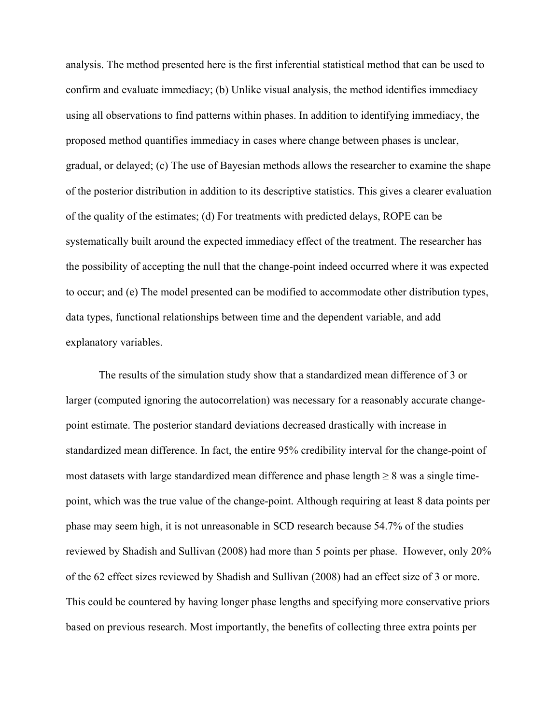analysis. The method presented here is the first inferential statistical method that can be used to confirm and evaluate immediacy; (b) Unlike visual analysis, the method identifies immediacy using all observations to find patterns within phases. In addition to identifying immediacy, the proposed method quantifies immediacy in cases where change between phases is unclear, gradual, or delayed; (c) The use of Bayesian methods allows the researcher to examine the shape of the posterior distribution in addition to its descriptive statistics. This gives a clearer evaluation of the quality of the estimates; (d) For treatments with predicted delays, ROPE can be systematically built around the expected immediacy effect of the treatment. The researcher has the possibility of accepting the null that the change-point indeed occurred where it was expected to occur; and (e) The model presented can be modified to accommodate other distribution types, data types, functional relationships between time and the dependent variable, and add explanatory variables.

The results of the simulation study show that a standardized mean difference of 3 or larger (computed ignoring the autocorrelation) was necessary for a reasonably accurate changepoint estimate. The posterior standard deviations decreased drastically with increase in standardized mean difference. In fact, the entire 95% credibility interval for the change-point of most datasets with large standardized mean difference and phase length  $\geq 8$  was a single timepoint, which was the true value of the change-point. Although requiring at least 8 data points per phase may seem high, it is not unreasonable in SCD research because 54.7% of the studies reviewed by Shadish and Sullivan (2008) had more than 5 points per phase. However, only 20% of the 62 effect sizes reviewed by Shadish and Sullivan (2008) had an effect size of 3 or more. This could be countered by having longer phase lengths and specifying more conservative priors based on previous research. Most importantly, the benefits of collecting three extra points per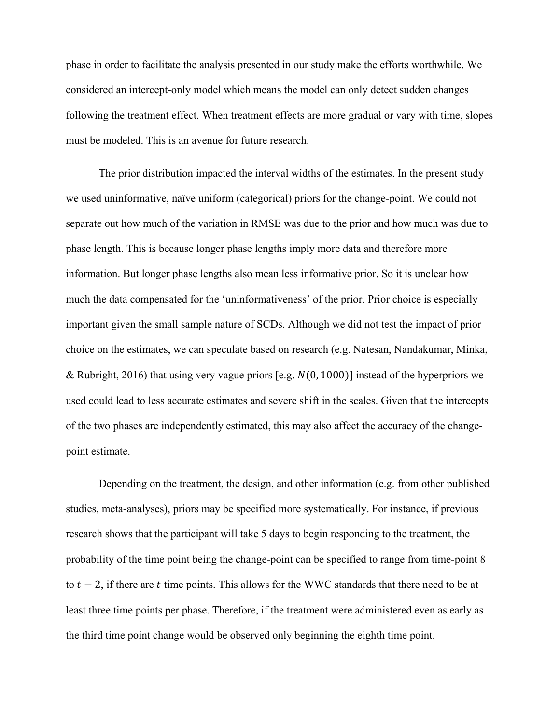phase in order to facilitate the analysis presented in our study make the efforts worthwhile. We considered an intercept-only model which means the model can only detect sudden changes following the treatment effect. When treatment effects are more gradual or vary with time, slopes must be modeled. This is an avenue for future research.

The prior distribution impacted the interval widths of the estimates. In the present study we used uninformative, naïve uniform (categorical) priors for the change-point. We could not separate out how much of the variation in RMSE was due to the prior and how much was due to phase length. This is because longer phase lengths imply more data and therefore more information. But longer phase lengths also mean less informative prior. So it is unclear how much the data compensated for the 'uninformativeness' of the prior. Prior choice is especially important given the small sample nature of SCDs. Although we did not test the impact of prior choice on the estimates, we can speculate based on research (e.g. Natesan, Nandakumar, Minka, & Rubright, 2016) that using very vague priors [e.g.  $N(0, 1000)$ ] instead of the hyperpriors we used could lead to less accurate estimates and severe shift in the scales. Given that the intercepts of the two phases are independently estimated, this may also affect the accuracy of the changepoint estimate.

Depending on the treatment, the design, and other information (e.g. from other published studies, meta-analyses), priors may be specified more systematically. For instance, if previous research shows that the participant will take 5 days to begin responding to the treatment, the probability of the time point being the change-point can be specified to range from time-point 8 to  $t - 2$ , if there are t time points. This allows for the WWC standards that there need to be at least three time points per phase. Therefore, if the treatment were administered even as early as the third time point change would be observed only beginning the eighth time point.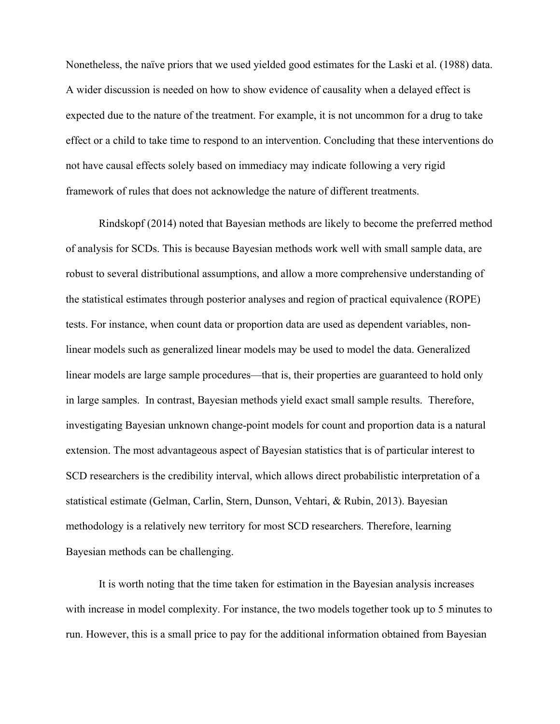Nonetheless, the naïve priors that we used yielded good estimates for the Laski et al. (1988) data. A wider discussion is needed on how to show evidence of causality when a delayed effect is expected due to the nature of the treatment. For example, it is not uncommon for a drug to take effect or a child to take time to respond to an intervention. Concluding that these interventions do not have causal effects solely based on immediacy may indicate following a very rigid framework of rules that does not acknowledge the nature of different treatments.

Rindskopf (2014) noted that Bayesian methods are likely to become the preferred method of analysis for SCDs. This is because Bayesian methods work well with small sample data, are robust to several distributional assumptions, and allow a more comprehensive understanding of the statistical estimates through posterior analyses and region of practical equivalence (ROPE) tests. For instance, when count data or proportion data are used as dependent variables, nonlinear models such as generalized linear models may be used to model the data. Generalized linear models are large sample procedures—that is, their properties are guaranteed to hold only in large samples. In contrast, Bayesian methods yield exact small sample results. Therefore, investigating Bayesian unknown change-point models for count and proportion data is a natural extension. The most advantageous aspect of Bayesian statistics that is of particular interest to SCD researchers is the credibility interval, which allows direct probabilistic interpretation of a statistical estimate (Gelman, Carlin, Stern, Dunson, Vehtari, & Rubin, 2013). Bayesian methodology is a relatively new territory for most SCD researchers. Therefore, learning Bayesian methods can be challenging.

It is worth noting that the time taken for estimation in the Bayesian analysis increases with increase in model complexity. For instance, the two models together took up to 5 minutes to run. However, this is a small price to pay for the additional information obtained from Bayesian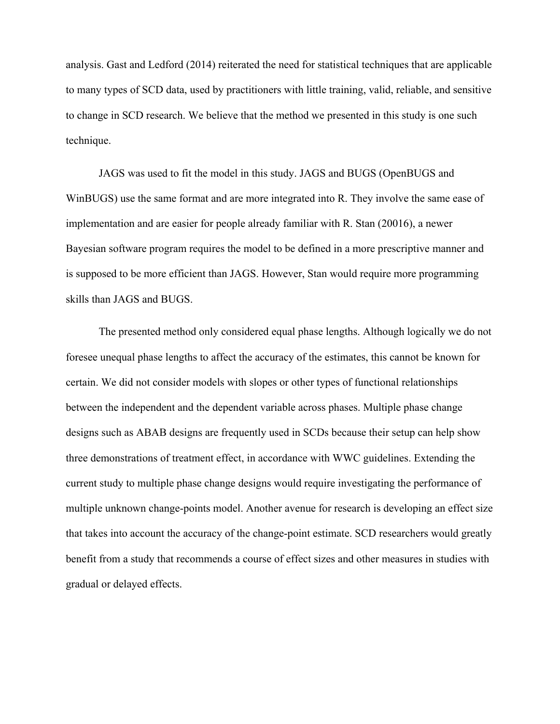analysis. Gast and Ledford (2014) reiterated the need for statistical techniques that are applicable to many types of SCD data, used by practitioners with little training, valid, reliable, and sensitive to change in SCD research. We believe that the method we presented in this study is one such technique.

JAGS was used to fit the model in this study. JAGS and BUGS (OpenBUGS and WinBUGS) use the same format and are more integrated into R. They involve the same ease of implementation and are easier for people already familiar with R. Stan (20016), a newer Bayesian software program requires the model to be defined in a more prescriptive manner and is supposed to be more efficient than JAGS. However, Stan would require more programming skills than JAGS and BUGS.

The presented method only considered equal phase lengths. Although logically we do not foresee unequal phase lengths to affect the accuracy of the estimates, this cannot be known for certain. We did not consider models with slopes or other types of functional relationships between the independent and the dependent variable across phases. Multiple phase change designs such as ABAB designs are frequently used in SCDs because their setup can help show three demonstrations of treatment effect, in accordance with WWC guidelines. Extending the current study to multiple phase change designs would require investigating the performance of multiple unknown change-points model. Another avenue for research is developing an effect size that takes into account the accuracy of the change-point estimate. SCD researchers would greatly benefit from a study that recommends a course of effect sizes and other measures in studies with gradual or delayed effects.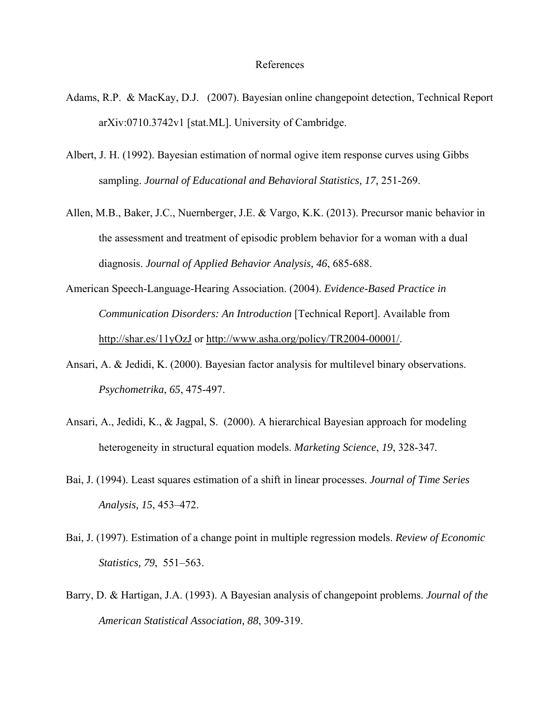#### References

- Adams, R.P. & MacKay, D.J. (2007). Bayesian online changepoint detection, Technical Report arXiv:0710.3742v1 [stat.ML]. University of Cambridge.
- Albert, J. H. (1992). Bayesian estimation of normal ogive item response curves using Gibbs sampling. *Journal of Educational and Behavioral Statistics, 17,* 251-269.
- Allen, M.B., Baker, J.C., Nuernberger, J.E. & Vargo, K.K. (2013). Precursor manic behavior in the assessment and treatment of episodic problem behavior for a woman with a dual diagnosis. *Journal of Applied Behavior Analysis, 46*, 685-688.
- American Speech-Language-Hearing Association. (2004). *Evidence-Based Practice in Communication Disorders: An Introduction* [Technical Report]. Available from http://shar.es/11yOzJ or http://www.asha.org/policy/TR2004-00001/.
- Ansari, A. & Jedidi, K. (2000). Bayesian factor analysis for multilevel binary observations. *Psychometrika*, *65*, 475-497.
- Ansari, A., Jedidi, K., & Jagpal, S. (2000). A hierarchical Bayesian approach for modeling heterogeneity in structural equation models. *Marketing Science*, *19*, 328-347*.*
- Bai, J. (1994). Least squares estimation of a shift in linear processes. *Journal of Time Series Analysis, 15*, 453–472.
- Bai, J. (1997). Estimation of a change point in multiple regression models. *Review of Economic Statistics, 79*, 551–563.
- Barry, D. & Hartigan, J.A. (1993). A Bayesian analysis of changepoint problems. *Journal of the American Statistical Association, 88*, 309-319.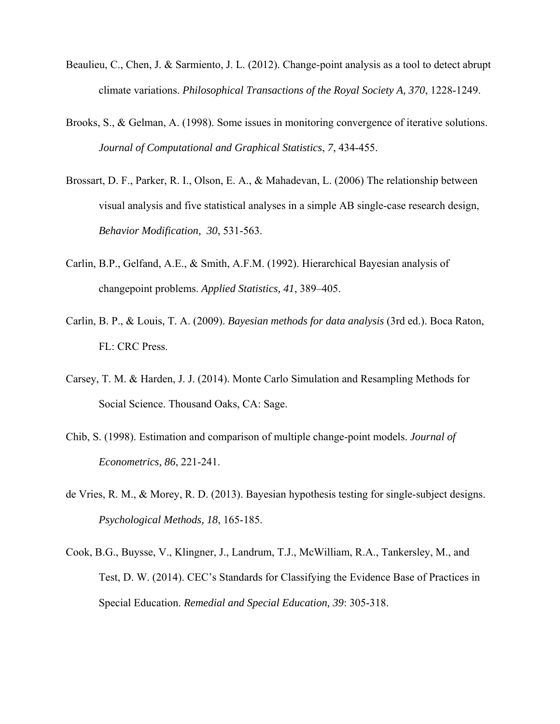- Beaulieu, C., Chen, J. & Sarmiento, J. L. (2012). Change-point analysis as a tool to detect abrupt climate variations. *Philosophical Transactions of the Royal Society A, 370*, 1228-1249.
- Brooks, S., & Gelman, A. (1998). Some issues in monitoring convergence of iterative solutions. *Journal of Computational and Graphical Statistics*, *7*, 434-455.
- Brossart, D. F., Parker, R. I., Olson, E. A., & Mahadevan, L. (2006) The relationship between visual analysis and five statistical analyses in a simple AB single-case research design, *Behavior Modification, 30*, 531-563.
- Carlin, B.P., Gelfand, A.E., & Smith, A.F.M. (1992). Hierarchical Bayesian analysis of changepoint problems. *Applied Statistics, 41*, 389–405.
- Carlin, B. P., & Louis, T. A. (2009). *Bayesian methods for data analysis* (3rd ed.). Boca Raton, FL: CRC Press.
- Carsey, T. M. & Harden, J. J. (2014). Monte Carlo Simulation and Resampling Methods for Social Science. Thousand Oaks, CA: Sage.
- Chib, S. (1998). Estimation and comparison of multiple change-point models. *Journal of Econometrics, 86*, 221-241.
- de Vries, R. M., & Morey, R. D. (2013). Bayesian hypothesis testing for single-subject designs. *Psychological Methods, 18*, 165-185.
- Cook, B.G., Buysse, V., Klingner, J., Landrum, T.J., McWilliam, R.A., Tankersley, M., and Test, D. W. (2014). CEC's Standards for Classifying the Evidence Base of Practices in Special Education. *Remedial and Special Education, 39*: 305-318.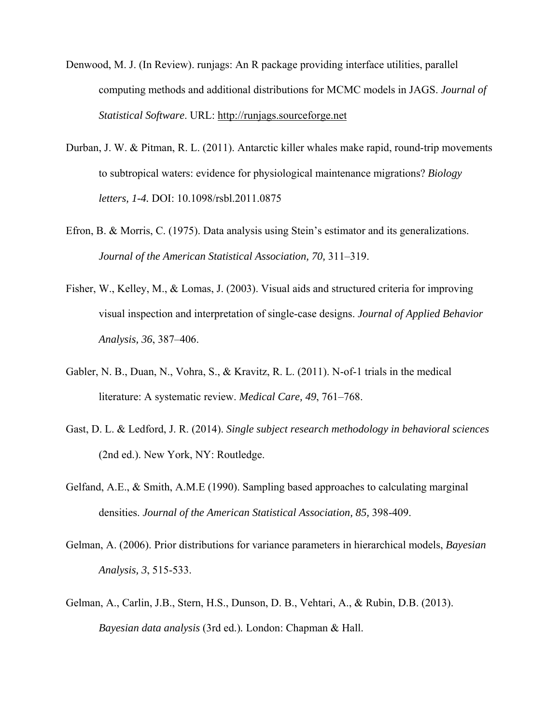- Denwood, M. J. (In Review). runjags: An R package providing interface utilities, parallel computing methods and additional distributions for MCMC models in JAGS. *Journal of Statistical Software*. URL: http://runjags.sourceforge.net
- Durban, J. W. & Pitman, R. L. (2011). Antarctic killer whales make rapid, round-trip movements to subtropical waters: evidence for physiological maintenance migrations? *Biology letters, 1-4.* DOI: 10.1098/rsbl.2011.0875
- Efron, B. & Morris, C. (1975). Data analysis using Stein's estimator and its generalizations. *Journal of the American Statistical Association, 70,* 311–319.
- Fisher, W., Kelley, M., & Lomas, J. (2003). Visual aids and structured criteria for improving visual inspection and interpretation of single-case designs. *Journal of Applied Behavior Analysis, 36*, 387–406.
- Gabler, N. B., Duan, N., Vohra, S., & Kravitz, R. L. (2011). N-of-1 trials in the medical literature: A systematic review. *Medical Care, 49*, 761–768.
- Gast, D. L. & Ledford, J. R. (2014). *Single subject research methodology in behavioral sciences* (2nd ed.). New York, NY: Routledge.
- Gelfand, A.E., & Smith, A.M.E (1990). Sampling based approaches to calculating marginal densities. *Journal of the American Statistical Association, 85,* 398-409.
- Gelman, A. (2006). Prior distributions for variance parameters in hierarchical models, *Bayesian Analysis, 3*, 515-533.
- Gelman, A., Carlin, J.B., Stern, H.S., Dunson, D. B., Vehtari, A., & Rubin, D.B. (2013). *Bayesian data analysis* (3rd ed.)*.* London: Chapman & Hall.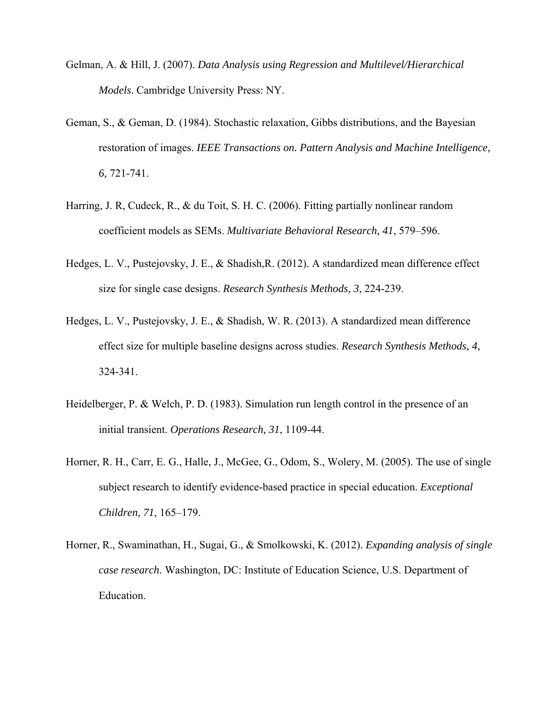- Gelman, A. & Hill, J. (2007). *Data Analysis using Regression and Multilevel/Hierarchical Models*. Cambridge University Press: NY.
- Geman, S., & Geman, D. (1984). Stochastic relaxation, Gibbs distributions, and the Bayesian restoration of images. *IEEE Transactions on. Pattern Analysis and Machine Intelligence, 6,* 721-741.
- Harring, J. R, Cudeck, R., & du Toit, S. H. C. (2006). Fitting partially nonlinear random coefficient models as SEMs. *Multivariate Behavioral Research, 41*, 579–596.
- Hedges, L. V., Pustejovsky, J. E., & Shadish,R. (2012). A standardized mean difference effect size for single case designs. *Research Synthesis Methods, 3*, 224-239.
- Hedges, L. V., Pustejovsky, J. E., & Shadish, W. R. (2013). A standardized mean difference effect size for multiple baseline designs across studies. *Research Synthesis Methods, 4*, 324-341.
- Heidelberger, P. & Welch, P. D. (1983). Simulation run length control in the presence of an initial transient. *Operations Research, 31*, 1109-44.
- Horner, R. H., Carr, E. G., Halle, J., McGee, G., Odom, S., Wolery, M. (2005). The use of single subject research to identify evidence-based practice in special education. *Exceptional Children, 71*, 165–179.
- Horner, R., Swaminathan, H., Sugai, G., & Smolkowski, K. (2012). *Expanding analysis of single case research*. Washington, DC: Institute of Education Science, U.S. Department of Education.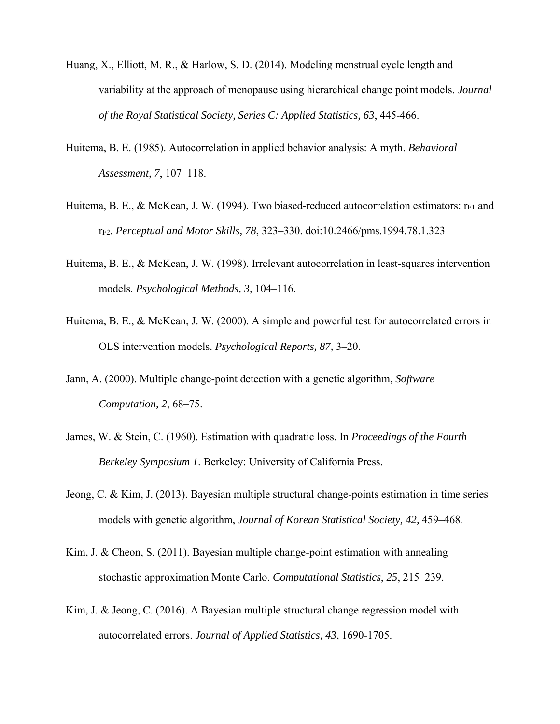- Huang, X., Elliott, M. R., & Harlow, S. D. (2014). Modeling menstrual cycle length and variability at the approach of menopause using hierarchical change point models. *Journal of the Royal Statistical Society, Series C: Applied Statistics, 63*, 445-466.
- Huitema, B. E. (1985). Autocorrelation in applied behavior analysis: A myth. *Behavioral Assessment, 7*, 107–118.
- Huitema, B. E., & McKean, J. W. (1994). Two biased-reduced autocorrelation estimators:  $r_{F1}$  and rF2. *Perceptual and Motor Skills, 78*, 323–330. doi:10.2466/pms.1994.78.1.323
- Huitema, B. E., & McKean, J. W. (1998). Irrelevant autocorrelation in least-squares intervention models. *Psychological Methods, 3,* 104–116.
- Huitema, B. E., & McKean, J. W. (2000). A simple and powerful test for autocorrelated errors in OLS intervention models. *Psychological Reports, 87,* 3–20.
- Jann, A. (2000). Multiple change-point detection with a genetic algorithm, *Software Computation, 2*, 68–75.
- James, W. & Stein, C. (1960). Estimation with quadratic loss. In *Proceedings of the Fourth Berkeley Symposium 1*. Berkeley: University of California Press.
- Jeong, C. & Kim, J. (2013). Bayesian multiple structural change-points estimation in time series models with genetic algorithm, *Journal of Korean Statistical Society, 42,* 459–468.
- Kim, J. & Cheon, S.  $(2011)$ . Bayesian multiple change-point estimation with annealing stochastic approximation Monte Carlo. *Computational Statistics*, *25*, 215–239.
- Kim, J. & Jeong, C. (2016). A Bayesian multiple structural change regression model with autocorrelated errors. *Journal of Applied Statistics, 43*, 1690-1705.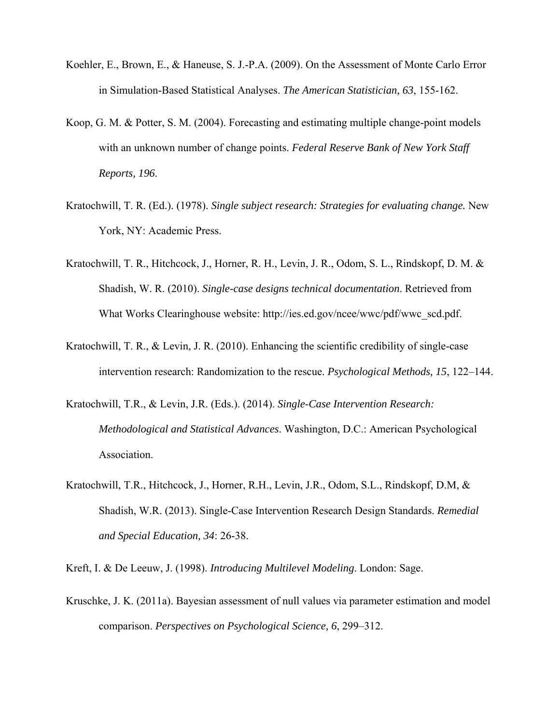- Koehler, E., Brown, E., & Haneuse, S. J.-P.A. (2009). On the Assessment of Monte Carlo Error in Simulation-Based Statistical Analyses. *The American Statistician, 63*, 155-162.
- Koop, G. M. & Potter, S. M. (2004). Forecasting and estimating multiple change-point models with an unknown number of change points. *Federal Reserve Bank of New York Staff Reports, 196*.
- Kratochwill, T. R. (Ed.). (1978). *Single subject research: Strategies for evaluating change.* New York, NY: Academic Press.
- Kratochwill, T. R., Hitchcock, J., Horner, R. H., Levin, J. R., Odom, S. L., Rindskopf, D. M. & Shadish, W. R. (2010). *Single-case designs technical documentation*. Retrieved from What Works Clearinghouse website: http://ies.ed.gov/ncee/wwc/pdf/wwc\_scd.pdf.
- Kratochwill, T. R., & Levin, J. R. (2010). Enhancing the scientific credibility of single-case intervention research: Randomization to the rescue. *Psychological Methods, 15*, 122–144.
- Kratochwill, T.R., & Levin, J.R. (Eds.). (2014). *Single-Case Intervention Research: Methodological and Statistical Advances*. Washington, D.C.: American Psychological Association.
- Kratochwill, T.R., Hitchcock, J., Horner, R.H., Levin, J.R., Odom, S.L., Rindskopf, D.M, & Shadish, W.R. (2013). Single-Case Intervention Research Design Standards. *Remedial and Special Education, 34*: 26-38.

Kreft, I. & De Leeuw, J. (1998). *Introducing Multilevel Modeling*. London: Sage.

Kruschke, J. K. (2011a). Bayesian assessment of null values via parameter estimation and model comparison. *Perspectives on Psychological Science, 6*, 299–312.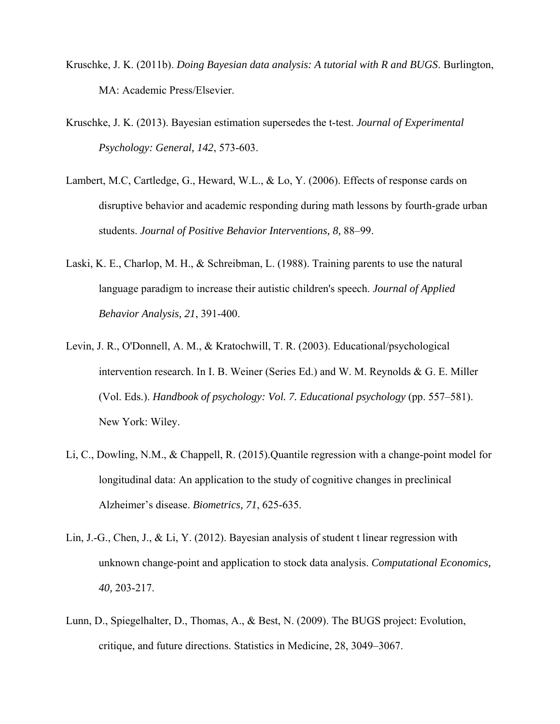- Kruschke, J. K. (2011b). *Doing Bayesian data analysis: A tutorial with R and BUGS*. Burlington, MA: Academic Press/Elsevier.
- Kruschke, J. K. (2013). Bayesian estimation supersedes the t-test. *Journal of Experimental Psychology: General, 142*, 573-603.
- Lambert, M.C, Cartledge, G., Heward, W.L., & Lo, Y. (2006). Effects of response cards on disruptive behavior and academic responding during math lessons by fourth-grade urban students. *Journal of Positive Behavior Interventions, 8,* 88–99.
- Laski, K. E., Charlop, M. H., & Schreibman, L. (1988). Training parents to use the natural language paradigm to increase their autistic children's speech. *Journal of Applied Behavior Analysis, 21*, 391-400.
- Levin, J. R., O'Donnell, A. M., & Kratochwill, T. R. (2003). Educational/psychological intervention research. In I. B. Weiner (Series Ed.) and W. M. Reynolds & G. E. Miller (Vol. Eds.). *Handbook of psychology: Vol. 7. Educational psychology* (pp. 557–581). New York: Wiley.
- Li, C., Dowling, N.M., & Chappell, R. (2015).Quantile regression with a change-point model for longitudinal data: An application to the study of cognitive changes in preclinical Alzheimer's disease. *Biometrics, 71*, 625-635.
- Lin, J.-G., Chen, J., & Li, Y. (2012). Bayesian analysis of student t linear regression with unknown change-point and application to stock data analysis. *Computational Economics, 40,* 203-217.
- Lunn, D., Spiegelhalter, D., Thomas, A., & Best, N. (2009). The BUGS project: Evolution, critique, and future directions. Statistics in Medicine, 28, 3049–3067.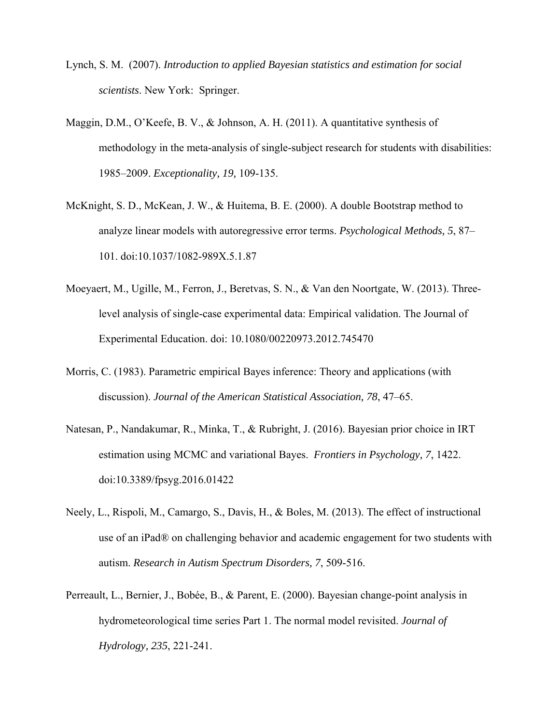- Lynch, S. M. (2007). *Introduction to applied Bayesian statistics and estimation for social scientists*. New York: Springer.
- Maggin, D.M., O'Keefe, B. V., & Johnson, A. H. (2011). A quantitative synthesis of methodology in the meta-analysis of single-subject research for students with disabilities: 1985–2009. *Exceptionality, 19,* 109-135.
- McKnight, S. D., McKean, J. W., & Huitema, B. E. (2000). A double Bootstrap method to analyze linear models with autoregressive error terms. *Psychological Methods, 5*, 87– 101. doi:10.1037/1082-989X.5.1.87
- Moeyaert, M., Ugille, M., Ferron, J., Beretvas, S. N., & Van den Noortgate, W. (2013). Threelevel analysis of single-case experimental data: Empirical validation. The Journal of Experimental Education. doi: 10.1080/00220973.2012.745470
- Morris, C. (1983). Parametric empirical Bayes inference: Theory and applications (with discussion). *Journal of the American Statistical Association, 78*, 47–65.
- Natesan, P., Nandakumar, R., Minka, T., & Rubright, J. (2016). Bayesian prior choice in IRT estimation using MCMC and variational Bayes. *Frontiers in Psychology, 7*, 1422. doi:10.3389/fpsyg.2016.01422
- Neely, L., Rispoli, M., Camargo, S., Davis, H., & Boles, M. (2013). The effect of instructional use of an iPad® on challenging behavior and academic engagement for two students with autism. *Research in Autism Spectrum Disorders, 7*, 509-516.
- Perreault, L., Bernier, J., Bobée, B., & Parent, E. (2000). Bayesian change-point analysis in hydrometeorological time series Part 1. The normal model revisited. *Journal of Hydrology, 235*, 221-241.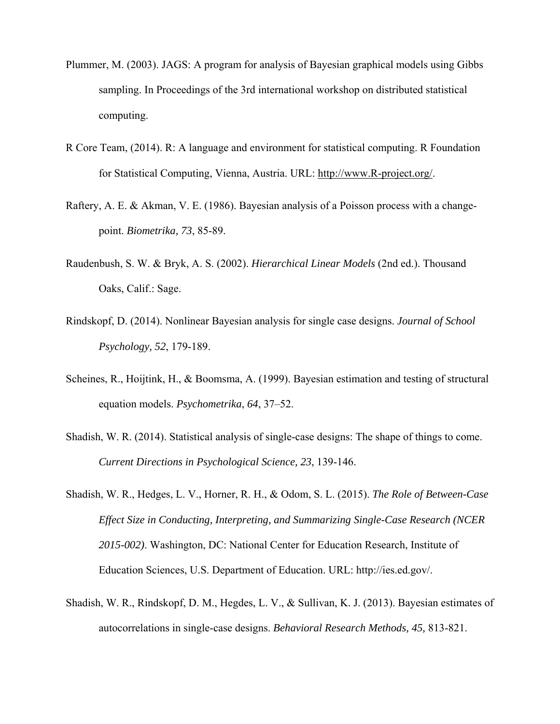- Plummer, M. (2003). JAGS: A program for analysis of Bayesian graphical models using Gibbs sampling. In Proceedings of the 3rd international workshop on distributed statistical computing.
- R Core Team, (2014). R: A language and environment for statistical computing. R Foundation for Statistical Computing, Vienna, Austria. URL: http://www.R-project.org/.
- Raftery, A. E. & Akman, V. E. (1986). Bayesian analysis of a Poisson process with a changepoint. *Biometrika, 73*, 85-89.
- Raudenbush, S. W. & Bryk, A. S. (2002). *Hierarchical Linear Models* (2nd ed.). Thousand Oaks, Calif.: Sage.
- Rindskopf, D. (2014). Nonlinear Bayesian analysis for single case designs. *Journal of School Psychology, 52*, 179-189.
- Scheines, R., Hoijtink, H., & Boomsma, A. (1999). Bayesian estimation and testing of structural equation models. *Psychometrika*, *64*, 37–52.
- Shadish, W. R. (2014). Statistical analysis of single-case designs: The shape of things to come. *Current Directions in Psychological Science, 23*, 139-146.
- Shadish, W. R., Hedges, L. V., Horner, R. H., & Odom, S. L. (2015). *The Role of Between-Case Effect Size in Conducting, Interpreting, and Summarizing Single-Case Research (NCER 2015-002)*. Washington, DC: National Center for Education Research, Institute of Education Sciences, U.S. Department of Education. URL: http://ies.ed.gov/.
- Shadish, W. R., Rindskopf, D. M., Hegdes, L. V., & Sullivan, K. J. (2013). Bayesian estimates of autocorrelations in single-case designs. *Behavioral Research Methods, 45,* 813-821.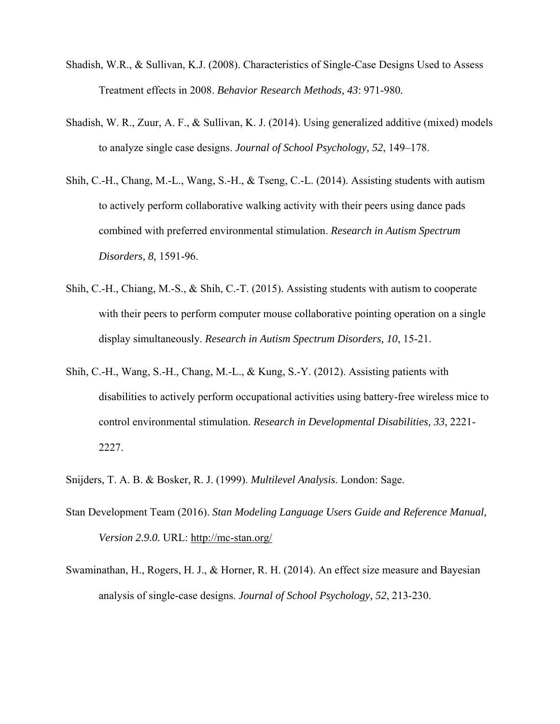- Shadish, W.R., & Sullivan, K.J. (2008). Characteristics of Single-Case Designs Used to Assess Treatment effects in 2008. *Behavior Research Methods, 43*: 971-980*.*
- Shadish, W. R., Zuur, A. F., & Sullivan, K. J. (2014). Using generalized additive (mixed) models to analyze single case designs. *Journal of School Psychology, 52*, 149–178.
- Shih, C.-H., Chang, M.-L., Wang, S.-H., & Tseng, C.-L. (2014). Assisting students with autism to actively perform collaborative walking activity with their peers using dance pads combined with preferred environmental stimulation. *Research in Autism Spectrum Disorders, 8,* 1591-96.
- Shih, C.-H., Chiang, M.-S., & Shih, C.-T. (2015). Assisting students with autism to cooperate with their peers to perform computer mouse collaborative pointing operation on a single display simultaneously. *Research in Autism Spectrum Disorders, 10*, 15-21.
- Shih, C.-H., Wang, S.-H., Chang, M.-L., & Kung, S.-Y. (2012). Assisting patients with disabilities to actively perform occupational activities using battery-free wireless mice to control environmental stimulation. *Research in Developmental Disabilities, 33*, 2221- 2227.
- Snijders, T. A. B. & Bosker, R. J. (1999). *Multilevel Analysis*. London: Sage.
- Stan Development Team (2016). *Stan Modeling Language Users Guide and Reference Manual, Version 2.9.0.* URL: http://mc-stan.org/
- Swaminathan, H., Rogers, H. J., & Horner, R. H. (2014). An effect size measure and Bayesian analysis of single-case designs. *Journal of School Psychology, 52*, 213-230.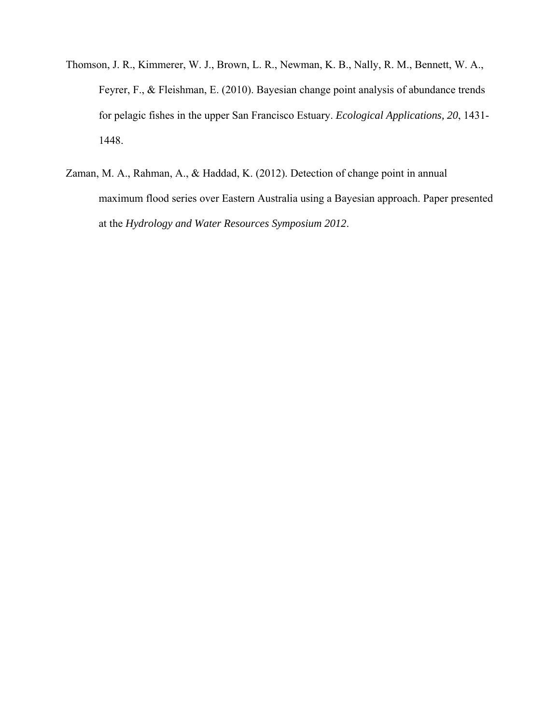- Thomson, J. R., Kimmerer, W. J., Brown, L. R., Newman, K. B., Nally, R. M., Bennett, W. A., Feyrer, F., & Fleishman, E. (2010). Bayesian change point analysis of abundance trends for pelagic fishes in the upper San Francisco Estuary. *Ecological Applications, 20*, 1431- 1448.
- Zaman, M. A., Rahman, A., & Haddad, K. (2012). Detection of change point in annual maximum flood series over Eastern Australia using a Bayesian approach. Paper presented at the *Hydrology and Water Resources Symposium 2012*.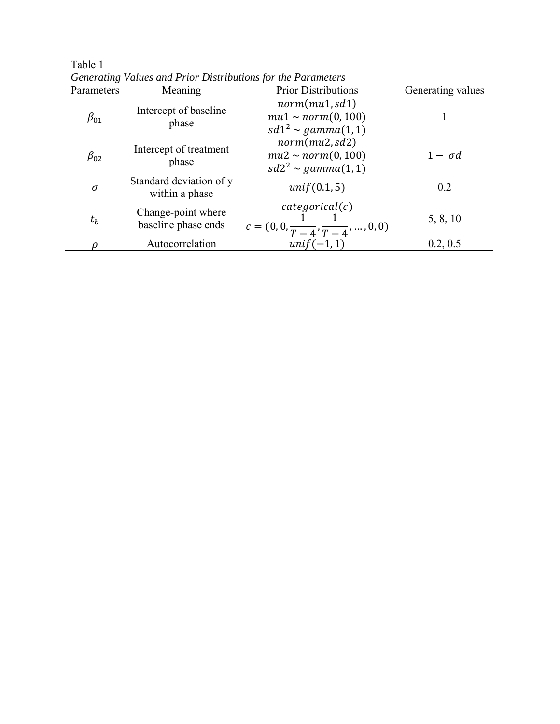| Parameters   | Meaning                                   | <b>Prior Distributions</b>                                                    | Generating values |
|--------------|-------------------------------------------|-------------------------------------------------------------------------------|-------------------|
| $\beta_{01}$ | Intercept of baseline<br>phase            | norm(mu1, sd1)<br>$mu1 \sim norm(0, 100)$<br>$sd1^2 \sim gamma(1,1)$          |                   |
| $\beta_{02}$ | Intercept of treatment<br>phase           | norm(mu2, sd2)<br>$mu2 \sim norm(0, 100)$<br>$sd2^2 \sim gamma(1,1)$          | $1 - \sigma d$    |
| $\sigma$     | Standard deviation of y<br>within a phase | unif(0.1, 5)                                                                  | 0.2               |
| $t_h$        | Change-point where<br>baseline phase ends | categorical(c)<br>$c = (0, 0, \frac{1}{T - 4}, \frac{1}{T - 4}, \dots, 0, 0)$ | 5, 8, 10          |
|              | Autocorrelation                           | $unif(-1,1)$                                                                  | 0.2, 0.5          |

Table 1 *Generating Values and Prior Distributions for the Parameters*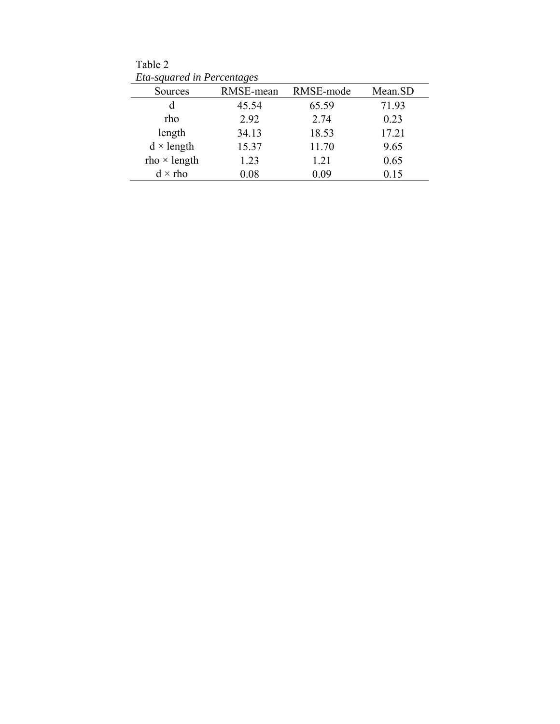Table 2 *Eta-squared in Percentages* 

| Sources             | RMSE-mean | RMSE-mode | Mean.SD |
|---------------------|-----------|-----------|---------|
| d                   | 45.54     | 65.59     | 71.93   |
| rho                 | 2.92      | 2.74      | 0.23    |
| length              | 34.13     | 18.53     | 17.21   |
| $d \times$ length   | 15.37     | 11.70     | 9.65    |
| $rho \times length$ | 1.23      | 1.21      | 0.65    |
| $d \times$ rho      | 0.08      | 0.09      | 0.15    |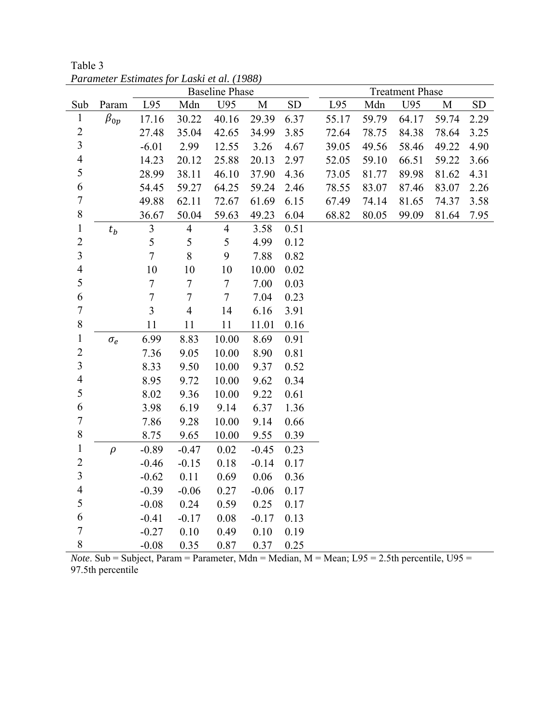|                         |              |                |                  | <b>Baseline Phase</b> |         | <b>Treatment Phase</b> |       |       |       |       |           |
|-------------------------|--------------|----------------|------------------|-----------------------|---------|------------------------|-------|-------|-------|-------|-----------|
| Sub                     | Param        | L95            | Mdn              | U95                   | M       | ${\rm SD}$             | L95   | Mdn   | U95   | M     | <b>SD</b> |
| $\mathbf{1}$            | $\beta_{0p}$ | 17.16          | 30.22            | 40.16                 | 29.39   | 6.37                   | 55.17 | 59.79 | 64.17 | 59.74 | 2.29      |
| $\overline{c}$          |              | 27.48          | 35.04            | 42.65                 | 34.99   | 3.85                   | 72.64 | 78.75 | 84.38 | 78.64 | 3.25      |
| $\overline{\mathbf{3}}$ |              | $-6.01$        | 2.99             | 12.55                 | 3.26    | 4.67                   | 39.05 | 49.56 | 58.46 | 49.22 | 4.90      |
| $\overline{4}$          |              | 14.23          | 20.12            | 25.88                 | 20.13   | 2.97                   | 52.05 | 59.10 | 66.51 | 59.22 | 3.66      |
| 5                       |              | 28.99          | 38.11            | 46.10                 | 37.90   | 4.36                   | 73.05 | 81.77 | 89.98 | 81.62 | 4.31      |
| 6                       |              | 54.45          | 59.27            | 64.25                 | 59.24   | 2.46                   | 78.55 | 83.07 | 87.46 | 83.07 | 2.26      |
| $\boldsymbol{7}$        |              | 49.88          | 62.11            | 72.67                 | 61.69   | 6.15                   | 67.49 | 74.14 | 81.65 | 74.37 | 3.58      |
| 8                       |              | 36.67          | 50.04            | 59.63                 | 49.23   | 6.04                   | 68.82 | 80.05 | 99.09 | 81.64 | 7.95      |
| $\,1$                   | $t_b$        | $\overline{3}$ | $\overline{4}$   | $\overline{4}$        | 3.58    | 0.51                   |       |       |       |       |           |
| $\overline{2}$          |              | 5              | 5                | 5                     | 4.99    | 0.12                   |       |       |       |       |           |
| $\overline{\mathbf{3}}$ |              | $\overline{7}$ | 8                | 9                     | 7.88    | 0.82                   |       |       |       |       |           |
| $\overline{4}$          |              | 10             | 10               | 10                    | 10.00   | 0.02                   |       |       |       |       |           |
| 5                       |              | $\tau$         | $\boldsymbol{7}$ | $\tau$                | 7.00    | 0.03                   |       |       |       |       |           |
| 6                       |              | $\overline{7}$ | $\boldsymbol{7}$ | $\tau$                | 7.04    | 0.23                   |       |       |       |       |           |
| $\overline{7}$          |              | $\overline{3}$ | $\overline{4}$   | 14                    | 6.16    | 3.91                   |       |       |       |       |           |
| 8                       |              | 11             | 11               | 11                    | 11.01   | 0.16                   |       |       |       |       |           |
| $\,1$                   | $\sigma_e$   | 6.99           | 8.83             | 10.00                 | 8.69    | 0.91                   |       |       |       |       |           |
| $\overline{2}$          |              | 7.36           | 9.05             | 10.00                 | 8.90    | 0.81                   |       |       |       |       |           |
| $\overline{\mathbf{3}}$ |              | 8.33           | 9.50             | 10.00                 | 9.37    | 0.52                   |       |       |       |       |           |
| $\overline{4}$          |              | 8.95           | 9.72             | 10.00                 | 9.62    | 0.34                   |       |       |       |       |           |
| 5                       |              | 8.02           | 9.36             | 10.00                 | 9.22    | 0.61                   |       |       |       |       |           |
| 6                       |              | 3.98           | 6.19             | 9.14                  | 6.37    | 1.36                   |       |       |       |       |           |
| $\overline{7}$          |              | 7.86           | 9.28             | 10.00                 | 9.14    | 0.66                   |       |       |       |       |           |
| 8                       |              | 8.75           | 9.65             | 10.00                 | 9.55    | 0.39                   |       |       |       |       |           |
| $\,1$                   | $\rho$       | $-0.89$        | $-0.47$          | 0.02                  | $-0.45$ | 0.23                   |       |       |       |       |           |
| $\overline{c}$          |              | $-0.46$        | $-0.15$          | 0.18                  | $-0.14$ | 0.17                   |       |       |       |       |           |
| $\overline{\mathbf{3}}$ |              | $-0.62$        | 0.11             | 0.69                  | 0.06    | 0.36                   |       |       |       |       |           |
| $\overline{4}$          |              | $-0.39$        | $-0.06$          | 0.27                  | $-0.06$ | 0.17                   |       |       |       |       |           |
| 5                       |              | $-0.08$        | 0.24             | 0.59                  | 0.25    | 0.17                   |       |       |       |       |           |
| 6                       |              | $-0.41$        | $-0.17$          | 0.08                  | $-0.17$ | 0.13                   |       |       |       |       |           |
| $\sqrt{ }$              |              | $-0.27$        | 0.10             | 0.49                  | 0.10    | 0.19                   |       |       |       |       |           |
| 8                       |              | $-0.08$        | 0.35             | 0.87                  | 0.37    | 0.25                   |       |       |       |       |           |

Table 3 *Parameter Estimates for Laski et al. (1988)* 

*Note*. Sub = Subject, Param = Parameter, Mdn = Median, M = Mean; L95 = 2.5th percentile, U95 = 97.5th percentile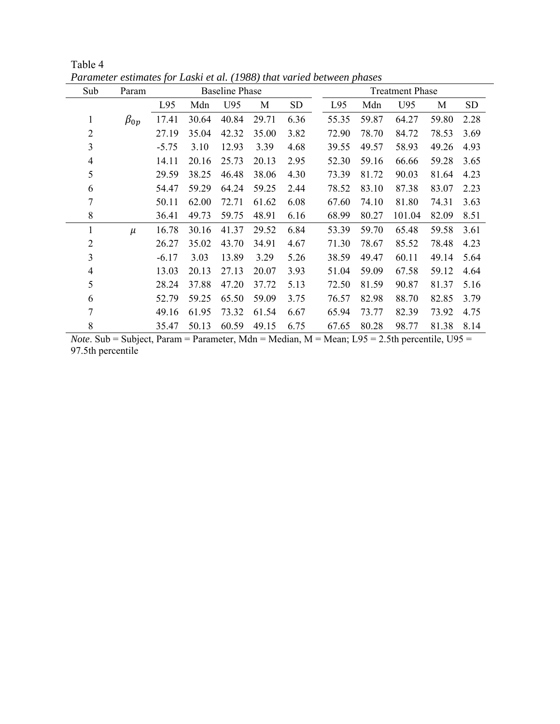| Sub            | Param        | <b>Baseline Phase</b> |       |       |       |           | <b>Treatment Phase</b> |       |        |       |           |  |
|----------------|--------------|-----------------------|-------|-------|-------|-----------|------------------------|-------|--------|-------|-----------|--|
|                |              | L95                   | Mdn   | U95   | M     | <b>SD</b> | L95                    | Mdn   | U95    | M     | <b>SD</b> |  |
| 1              | $\beta_{0p}$ | 17.41                 | 30.64 | 40.84 | 29.71 | 6.36      | 55.35                  | 59.87 | 64.27  | 59.80 | 2.28      |  |
| $\overline{2}$ |              | 27.19                 | 35.04 | 42.32 | 35.00 | 3.82      | 72.90                  | 78.70 | 84.72  | 78.53 | 3.69      |  |
| 3              |              | $-5.75$               | 3.10  | 12.93 | 3.39  | 4.68      | 39.55                  | 49.57 | 58.93  | 49.26 | 4.93      |  |
| $\overline{4}$ |              | 14.11                 | 20.16 | 25.73 | 20.13 | 2.95      | 52.30                  | 59.16 | 66.66  | 59.28 | 3.65      |  |
| 5              |              | 29.59                 | 38.25 | 46.48 | 38.06 | 4.30      | 73.39                  | 81.72 | 90.03  | 81.64 | 4.23      |  |
| 6              |              | 54.47                 | 59.29 | 64.24 | 59.25 | 2.44      | 78.52                  | 83.10 | 87.38  | 83.07 | 2.23      |  |
| 7              |              | 50.11                 | 62.00 | 72.71 | 61.62 | 6.08      | 67.60                  | 74.10 | 81.80  | 74.31 | 3.63      |  |
| 8              |              | 36.41                 | 49.73 | 59.75 | 48.91 | 6.16      | 68.99                  | 80.27 | 101.04 | 82.09 | 8.51      |  |
| 1              | $\mu$        | 16.78                 | 30.16 | 41.37 | 29.52 | 6.84      | 53.39                  | 59.70 | 65.48  | 59.58 | 3.61      |  |
| 2              |              | 26.27                 | 35.02 | 43.70 | 34.91 | 4.67      | 71.30                  | 78.67 | 85.52  | 78.48 | 4.23      |  |
| 3              |              | $-6.17$               | 3.03  | 13.89 | 3.29  | 5.26      | 38.59                  | 49.47 | 60.11  | 49.14 | 5.64      |  |
| $\overline{4}$ |              | 13.03                 | 20.13 | 27.13 | 20.07 | 3.93      | 51.04                  | 59.09 | 67.58  | 59.12 | 4.64      |  |
| 5              |              | 28.24                 | 37.88 | 47.20 | 37.72 | 5.13      | 72.50                  | 81.59 | 90.87  | 81.37 | 5.16      |  |
| 6              |              | 52.79                 | 59.25 | 65.50 | 59.09 | 3.75      | 76.57                  | 82.98 | 88.70  | 82.85 | 3.79      |  |
| 7              |              | 49.16                 | 61.95 | 73.32 | 61.54 | 6.67      | 65.94                  | 73.77 | 82.39  | 73.92 | 4.75      |  |
| 8              |              | 35.47                 | 50.13 | 60.59 | 49.15 | 6.75      | 67.65                  | 80.28 | 98.77  | 81.38 | 8.14      |  |

Table 4 *Parameter estimates for Laski et al. (1988) that varied between phases*

*Note*. Sub = Subject, Param = Parameter, Mdn = Median, M = Mean; L95 = 2.5th percentile, U95 = 97.5th percentile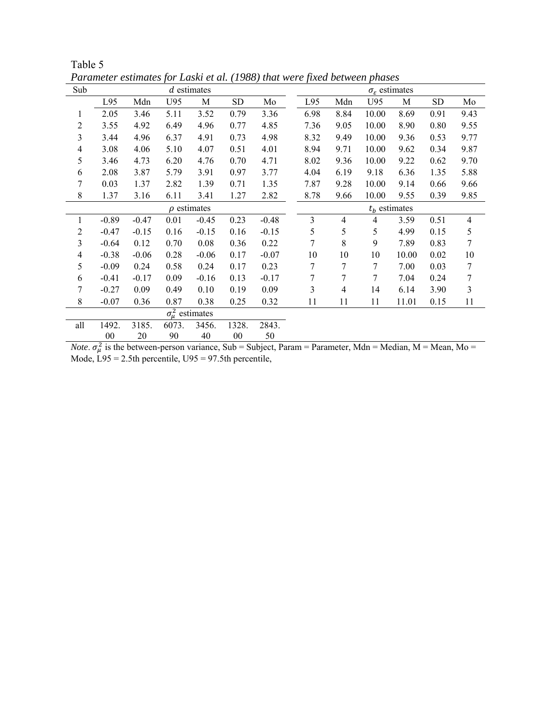| Sub |                            | $d$ estimates |       |                  |           |         |  | $\sigma_{\varepsilon}$ estimates |                |       |       |           |                |  |  |
|-----|----------------------------|---------------|-------|------------------|-----------|---------|--|----------------------------------|----------------|-------|-------|-----------|----------------|--|--|
|     | L95                        | Mdn           | U95   | M                | <b>SD</b> | Mo      |  | L95                              | Mdn            | U95   | М     | <b>SD</b> | Mo             |  |  |
| 1   | 2.05                       | 3.46          | 5.11  | 3.52             | 0.79      | 3.36    |  | 6.98                             | 8.84           | 10.00 | 8.69  | 0.91      | 9.43           |  |  |
| 2   | 3.55                       | 4.92          | 6.49  | 4.96             | 0.77      | 4.85    |  | 7.36                             | 9.05           | 10.00 | 8.90  | 0.80      | 9.55           |  |  |
| 3   | 3.44                       | 4.96          | 6.37  | 4.91             | 0.73      | 4.98    |  | 8.32                             | 9.49           | 10.00 | 9.36  | 0.53      | 9.77           |  |  |
| 4   | 3.08                       | 4.06          | 5.10  | 4.07             | 0.51      | 4.01    |  | 8.94                             | 9.71           | 10.00 | 9.62  | 0.34      | 9.87           |  |  |
| 5   | 3.46                       | 4.73          | 6.20  | 4.76             | 0.70      | 4.71    |  | 8.02                             | 9.36           | 10.00 | 9.22  | 0.62      | 9.70           |  |  |
| 6   | 2.08                       | 3.87          | 5.79  | 3.91             | 0.97      | 3.77    |  | 4.04                             | 6.19           | 9.18  | 6.36  | 1.35      | 5.88           |  |  |
| 7   | 0.03                       | 1.37          | 2.82  | 1.39             | 0.71      | 1.35    |  | 7.87                             | 9.28           | 10.00 | 9.14  | 0.66      | 9.66           |  |  |
| 8   | 1.37                       | 3.16          | 6.11  | 3.41             | 1.27      | 2.82    |  | 8.78                             | 9.66           | 10.00 | 9.55  | 0.39      | 9.85           |  |  |
|     |                            |               |       | $\rho$ estimates |           |         |  | $tb$ estimates                   |                |       |       |           |                |  |  |
| 1   | $-0.89$                    | $-0.47$       | 0.01  | $-0.45$          | 0.23      | $-0.48$ |  | 3                                | 4              | 4     | 3.59  | 0.51      | $\overline{4}$ |  |  |
| 2   | $-0.47$                    | $-0.15$       | 0.16  | $-0.15$          | 0.16      | $-0.15$ |  | 5                                | 5              | 5     | 4.99  | 0.15      | 5              |  |  |
| 3   | $-0.64$                    | 0.12          | 0.70  | 0.08             | 0.36      | 0.22    |  | 7                                | 8              | 9     | 7.89  | 0.83      | 7              |  |  |
| 4   | $-0.38$                    | $-0.06$       | 0.28  | $-0.06$          | 0.17      | $-0.07$ |  | 10                               | 10             | 10    | 10.00 | 0.02      | 10             |  |  |
| 5   | $-0.09$                    | 0.24          | 0.58  | 0.24             | 0.17      | 0.23    |  | 7                                | 7              | 7     | 7.00  | 0.03      | 7              |  |  |
| 6   | $-0.41$                    | $-0.17$       | 0.09  | $-0.16$          | 0.13      | $-0.17$ |  | 7                                | 7              | 7     | 7.04  | 0.24      | 7              |  |  |
| 7   | $-0.27$                    | 0.09          | 0.49  | 0.10             | 0.19      | 0.09    |  | $\mathfrak{Z}$                   | $\overline{4}$ | 14    | 6.14  | 3.90      | $\mathfrak{Z}$ |  |  |
| 8   | $-0.07$                    | 0.36          | 0.87  | 0.38             | 0.25      | 0.32    |  | 11                               | 11             | 11    | 11.01 | 0.15      | 11             |  |  |
|     | $\sigma_{\mu}^2$ estimates |               |       |                  |           |         |  |                                  |                |       |       |           |                |  |  |
| all | 1492.                      | 3185.         | 6073. | 3456.            | 1328.     | 2843.   |  |                                  |                |       |       |           |                |  |  |
|     | 00                         | 20            | 90    | 40               | $00\,$    | 50      |  |                                  |                |       |       |           |                |  |  |

Table 5 *Parameter estimates for Laski et al. (1988) that were fixed between phases*

*Note*.  $\sigma_{\mu}^2$  is the between-person variance, Sub = Subject, Param = Parameter, Mdn = Median, M = Mean, Mo = Mode,  $L95 = 2.5$ th percentile,  $U95 = 97.5$ th percentile,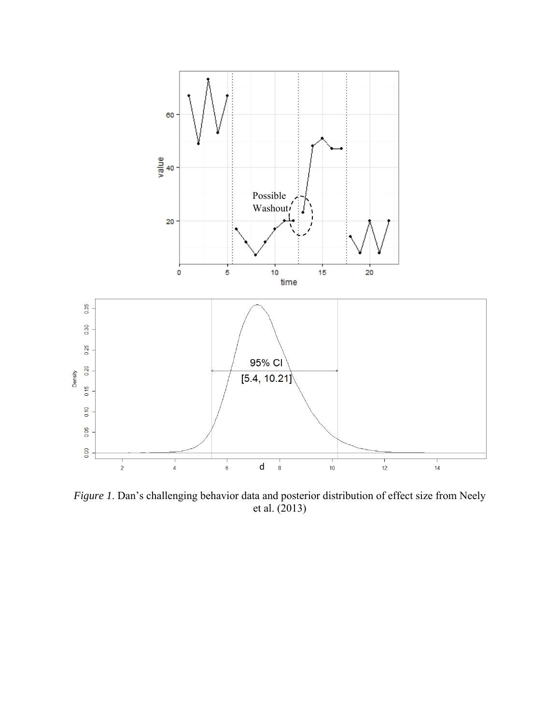

*Figure 1*. Dan's challenging behavior data and posterior distribution of effect size from Neely et al. (2013)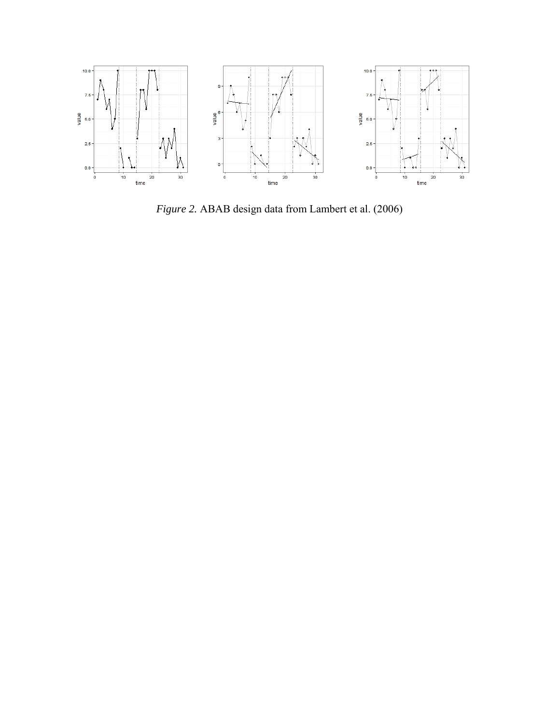

*Figure 2.* ABAB design data from Lambert et al. (2006)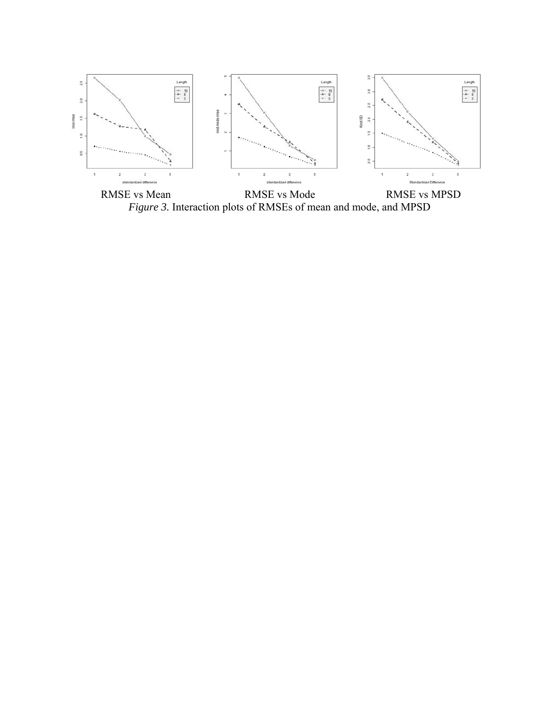

RMSE vs Mean RMSE vs Mode RMSE vs MPSD *Figure 3.* Interaction plots of RMSEs of mean and mode, and MPSD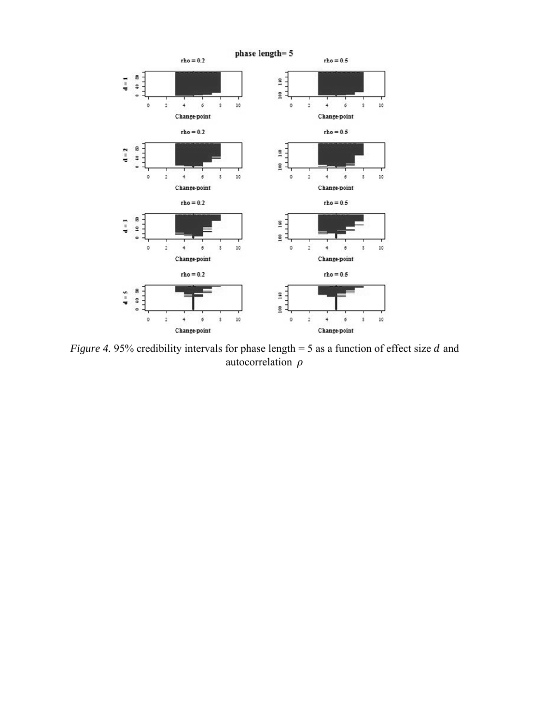

*Figure 4.* 95% credibility intervals for phase length  $=$  5 as a function of effect size d and autocorrelation  $\rho$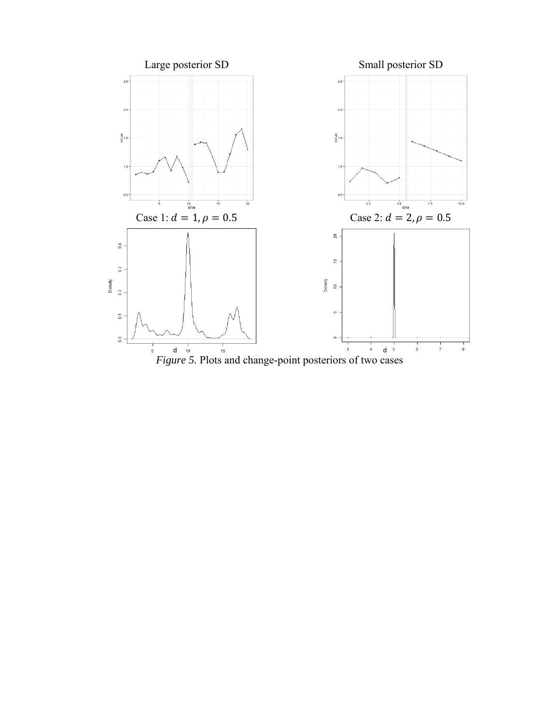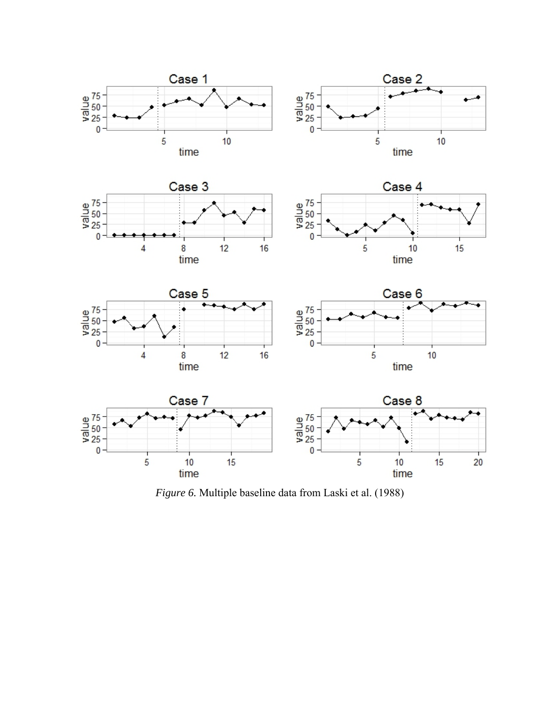

*Figure 6.* Multiple baseline data from Laski et al. (1988)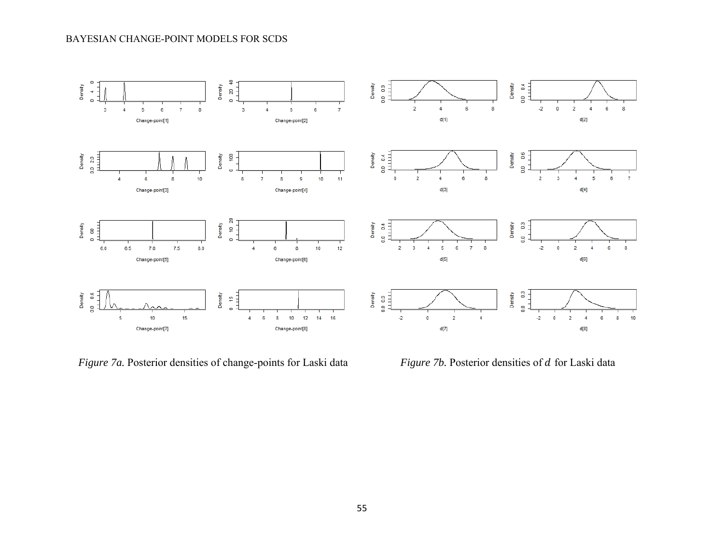#### BAYESIAN CHANGE-POINT MODELS FOR SCDS



*Figure 7a.* Posterior densities of change-points for Laski data *Figure 7b.* Posterior densities of *d* for Laski data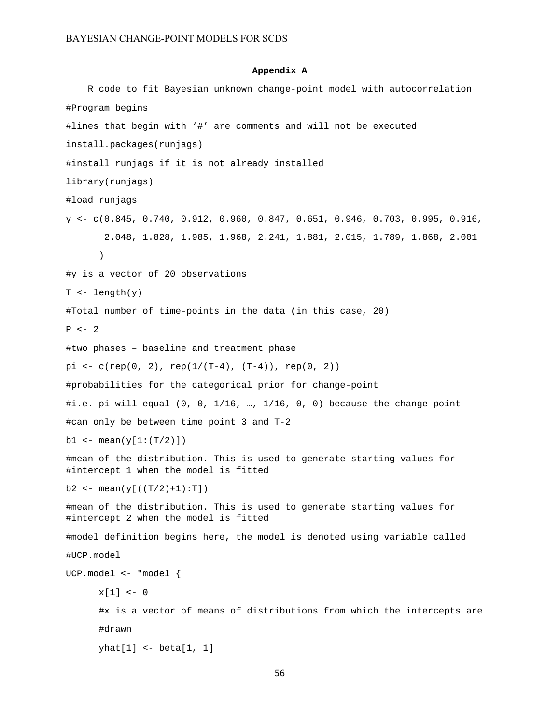#### **Appendix A**

```
R code to fit Bayesian unknown change-point model with autocorrelation 
#Program begins 
#lines that begin with '#' are comments and will not be executed 
install.packages(runjags) 
#install runjags if it is not already installed 
library(runjags) 
#load runjags 
y <- c(0.845, 0.740, 0.912, 0.960, 0.847, 0.651, 0.946, 0.703, 0.995, 0.916, 
        2.048, 1.828, 1.985, 1.968, 2.241, 1.881, 2.015, 1.789, 1.868, 2.001 
      ) 
#y is a vector of 20 observations 
T <- length(y)
#Total number of time-points in the data (in this case, 20) 
P \leftarrow 2#two phases – baseline and treatment phase 
pi \leftarrow c(rep(0, 2), rep(1/(T-4), (T-4)), rep(0, 2))#probabilities for the categorical prior for change-point 
#i.e. pi will equal (0, 0, 1/16, …, 1/16, 0, 0) because the change-point 
#can only be between time point 3 and T-2 
b1 <- mean(y[1:(T/2)])#mean of the distribution. This is used to generate starting values for 
#intercept 1 when the model is fitted 
b2 <- mean(y[((T/2)+1):T])#mean of the distribution. This is used to generate starting values for 
#intercept 2 when the model is fitted 
#model definition begins here, the model is denoted using variable called 
#UCP.model 
UCP.model <- "model { 
      x[1] < -0 #x is a vector of means of distributions from which the intercepts are 
      #drawn 
       yhat[1] <- beta[1, 1]
```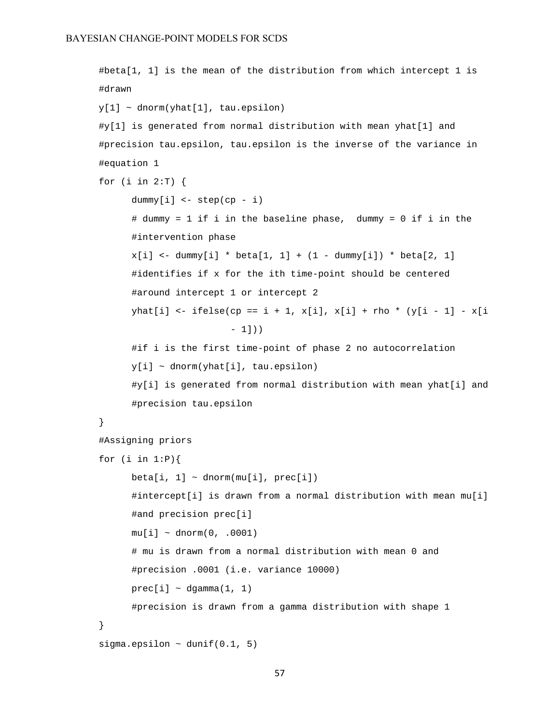```
 #beta[1, 1] is the mean of the distribution from which intercept 1 is 
#drawn 
y[1] ~ dnorm(yhat[1], tau.epsilon)
 #y[1] is generated from normal distribution with mean yhat[1] and 
#precision tau.epsilon, tau.epsilon is the inverse of the variance in 
#equation 1 
 for (i in 2:T) { 
      dummyl[i] < - step(cp - i) # dummy = 1 if i in the baseline phase, dummy = 0 if i in the 
      #intervention phase 
      x[i] <- dummy[i] * beta[1, 1] + (1 - dummy[i]) * beta[2, 1]
       #identifies if x for the ith time-point should be centered 
       #around intercept 1 or intercept 2 
      yhat[i] <- ifelse(cp == i + 1, x[i], x[i] + rho * (y[i - 1] - x[i
                          -1))
       #if i is the first time-point of phase 2 no autocorrelation 
      y[i] ~ dnorm(yhat[i], tau.epsilon)
       #y[i] is generated from normal distribution with mean yhat[i] and 
      #precision tau.epsilon 
 } 
 #Assigning priors 
for (i \text{ in } 1:P) {
      beta[i, 1] \sim \text{dnorm}(\text{mul}[i], \text{prec}[i]) #intercept[i] is drawn from a normal distribution with mean mu[i] 
      #and precision prec[i] 
      mu[i] \sim \text{dnorm}(0, .0001) # mu is drawn from a normal distribution with mean 0 and 
      #precision .0001 (i.e. variance 10000) 
      prec[i] ~\sim dgamma(1, 1) #precision is drawn from a gamma distribution with shape 1 
 } 
sigma.epsilon \sim dunif(0.1, 5)
```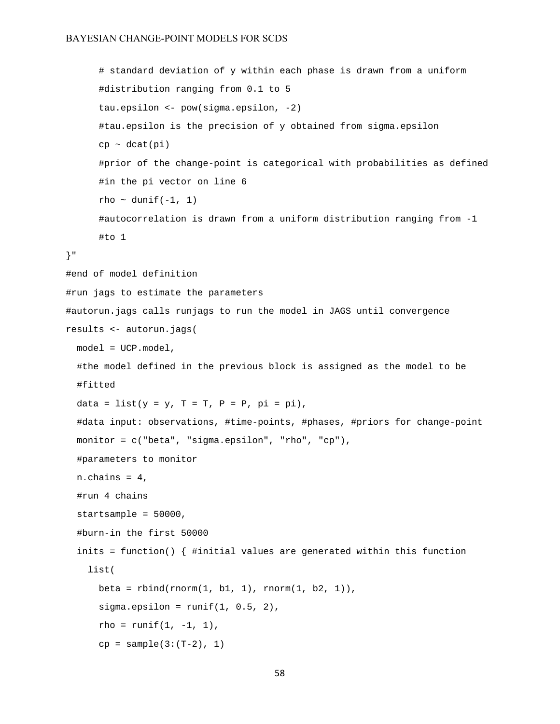```
 # standard deviation of y within each phase is drawn from a uniform 
      #distribution ranging from 0.1 to 5 
       tau.epsilon <- pow(sigma.epsilon, -2) 
       #tau.epsilon is the precision of y obtained from sigma.epsilon 
      cp \sim dcat(pi) #prior of the change-point is categorical with probabilities as defined 
      #in the pi vector on line 6 
      rho ~ dunif(-1, 1) #autocorrelation is drawn from a uniform distribution ranging from -1 
      #to 1 
}" 
#end of model definition 
#run jags to estimate the parameters 
#autorun.jags calls runjags to run the model in JAGS until convergence 
results <- autorun.jags( 
  model = UCP.model, 
   #the model defined in the previous block is assigned as the model to be 
   #fitted 
  data = list(y = y, T = T, P = P, pi = pi),
   #data input: observations, #time-points, #phases, #priors for change-point 
   monitor = c("beta", "sigma.epsilon", "rho", "cp"), 
   #parameters to monitor 
  n.chains = 4,
   #run 4 chains 
   startsample = 50000, 
   #burn-in the first 50000 
   inits = function() { #initial values are generated within this function 
     list( 
      beta = rbind(rnorm(1, b1, 1), rnorm(1, b2, 1)),sigma.epsilon = runif(1, 0.5, 2),
      rho = runif(1, -1, 1), cp = sample(3:(T-2), 1)
```